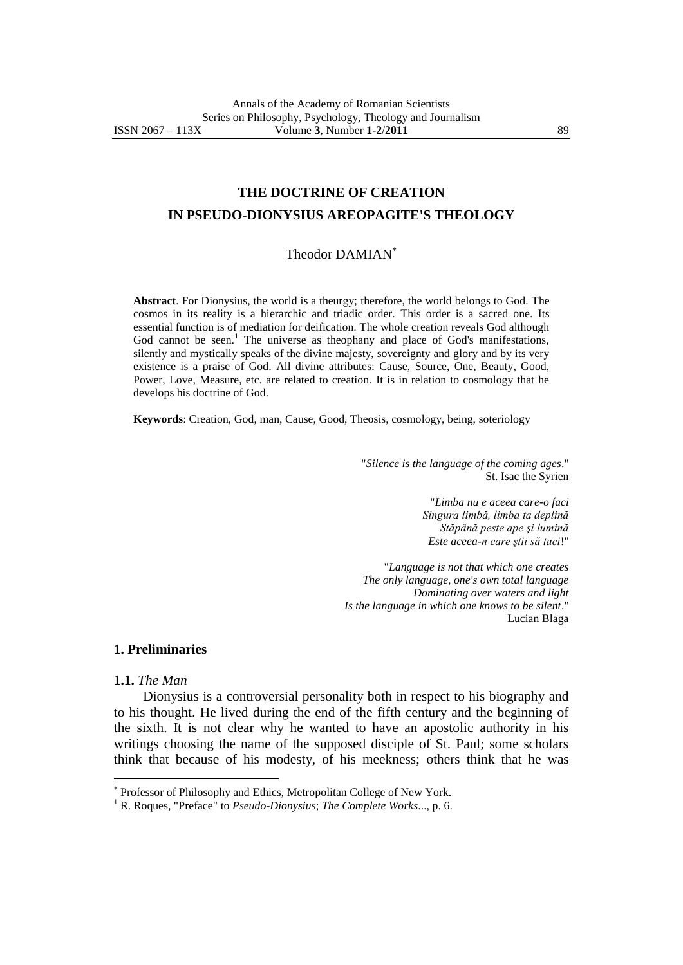# **THE DOCTRINE OF CREATION IN PSEUDO-DIONYSIUS AREOPAGITE'S THEOLOGY**

### Theodor DAMIAN

**Abstract**. For Dionysius, the world is a theurgy; therefore, the world belongs to God. The cosmos in its reality is a hierarchic and triadic order. This order is a sacred one. Its essential function is of mediation for deification. The whole creation reveals God although God cannot be seen.<sup>1</sup> The universe as theophany and place of God's manifestations, silently and mystically speaks of the divine majesty, sovereignty and glory and by its very existence is a praise of God. All divine attributes: Cause, Source, One, Beauty, Good, Power, Love, Measure, etc. are related to creation. It is in relation to cosmology that he develops his doctrine of God.

**Keywords**: Creation, God, man, Cause, Good, Theosis, cosmology, being, soteriology

"*Silence is the language of the coming ages*." St. Isac the Syrien

> "*Limba nu e aceea care-o faci Singura limbă, limba ta deplină Stăpână peste ape şi lumină Este aceea-n care ştii să taci*!"

"*Language is not that which one creates The only language, one's own total language Dominating over waters and light Is the language in which one knows to be silent*." Lucian Blaga

## **1. Preliminaries**

### **1.1.** *The Man*

 $\overline{a}$ 

Dionysius is a controversial personality both in respect to his biography and to his thought. He lived during the end of the fifth century and the beginning of the sixth. It is not clear why he wanted to have an apostolic authority in his writings choosing the name of the supposed disciple of St. Paul; some scholars think that because of his modesty, of his meekness; others think that he was

Professor of Philosophy and Ethics, Metropolitan College of New York.

<sup>1</sup> R. Roques, "Preface" to *Pseudo-Dionysius*; *The Complete Works*..., p. 6.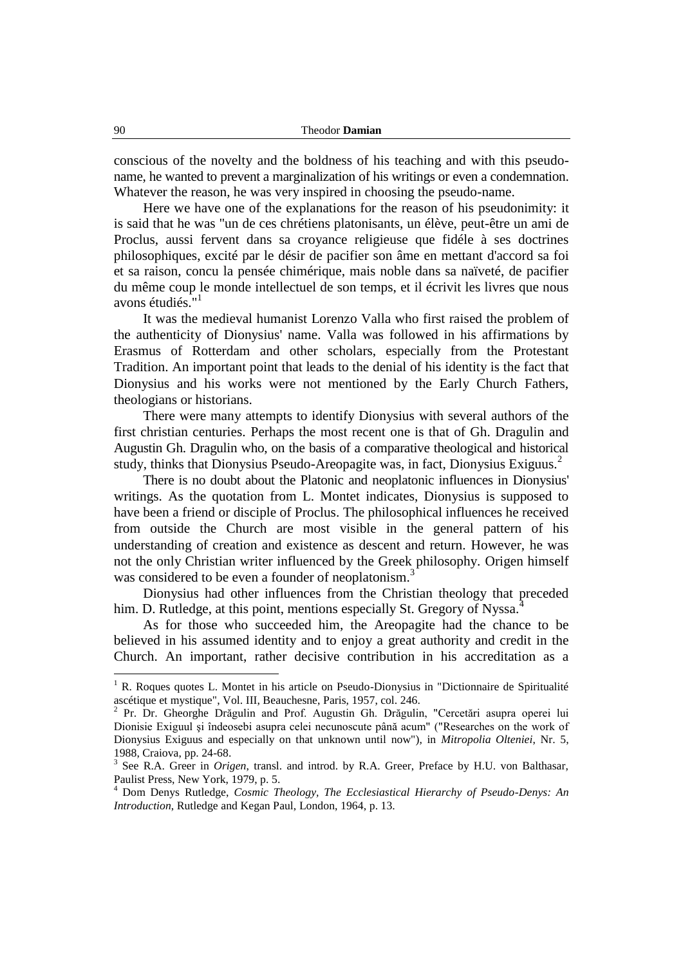conscious of the novelty and the boldness of his teaching and with this pseudoname, he wanted to prevent a marginalization of his writings or even a condemnation. Whatever the reason, he was very inspired in choosing the pseudo-name.

Here we have one of the explanations for the reason of his pseudonimity: it is said that he was "un de ces chrétiens platonisants, un élève, peut-être un ami de Proclus, aussi fervent dans sa croyance religieuse que fidéle à ses doctrines philosophiques, excité par le désir de pacifier son âme en mettant d'accord sa foi et sa raison, concu la pensée chimérique, mais noble dans sa naïveté, de pacifier du même coup le monde intellectuel de son temps, et il écrivit les livres que nous avons étudiés.<sup>"1</sup>

It was the medieval humanist Lorenzo Valla who first raised the problem of the authenticity of Dionysius' name. Valla was followed in his affirmations by Erasmus of Rotterdam and other scholars, especially from the Protestant Tradition. An important point that leads to the denial of his identity is the fact that Dionysius and his works were not mentioned by the Early Church Fathers, theologians or historians.

There were many attempts to identify Dionysius with several authors of the first christian centuries. Perhaps the most recent one is that of Gh. Dragulin and Augustin Gh. Dragulin who, on the basis of a comparative theological and historical study, thinks that Dionysius Pseudo-Areopagite was, in fact, Dionysius Exiguus.<sup>2</sup>

There is no doubt about the Platonic and neoplatonic influences in Dionysius' writings. As the quotation from L. Montet indicates, Dionysius is supposed to have been a friend or disciple of Proclus. The philosophical influences he received from outside the Church are most visible in the general pattern of his understanding of creation and existence as descent and return. However, he was not the only Christian writer influenced by the Greek philosophy. Origen himself was considered to be even a founder of neoplatonism.<sup>3</sup>

Dionysius had other influences from the Christian theology that preceded him. D. Rutledge, at this point, mentions especially St. Gregory of Nyssa.<sup>4</sup>

As for those who succeeded him, the Areopagite had the chance to be believed in his assumed identity and to enjoy a great authority and credit in the Church. An important, rather decisive contribution in his accreditation as a

 $1 R$ . Roques quotes L. Montet in his article on Pseudo-Dionysius in "Dictionnaire de Spiritualité ascétique et mystique", Vol. III, Beauchesne, Paris, 1957, col. 246.

<sup>2</sup> Pr. Dr. Gheorghe Drăgulin and Prof. Augustin Gh. Drăgulin, "Cercetări asupra operei lui Dionisie Exiguul şi îndeosebi asupra celei necunoscute până acum" ("Researches on the work of Dionysius Exiguus and especially on that unknown until now"), in *Mitropolia Olteniei*, Nr. 5, 1988, Craiova, pp. 24-68.

<sup>3</sup> See R.A. Greer in *Origen*, transl. and introd. by R.A. Greer, Preface by H.U. von Balthasar, Paulist Press, New York, 1979, p. 5.

<sup>4</sup> Dom Denys Rutledge, *Cosmic Theology, The Ecclesiastical Hierarchy of Pseudo-Denys: An Introduction*, Rutledge and Kegan Paul, London, 1964, p. 13.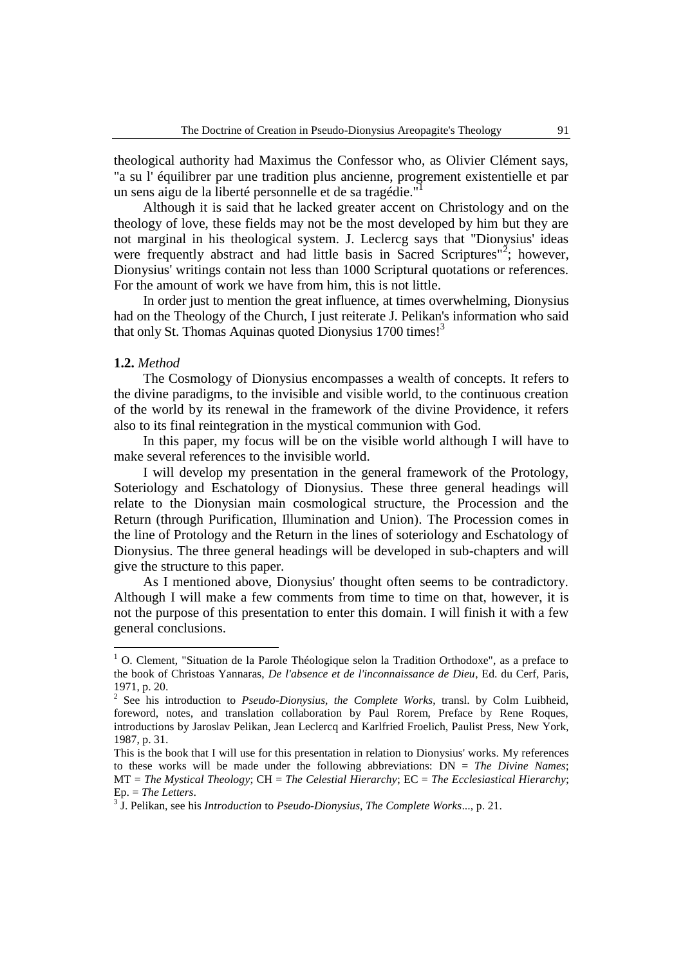theological authority had Maximus the Confessor who, as Olivier Clément says, "a su l' équilibrer par une tradition plus ancienne, progrement existentielle et par un sens aigu de la liberté personnelle et de sa tragédie."

Although it is said that he lacked greater accent on Christology and on the theology of love, these fields may not be the most developed by him but they are not marginal in his theological system. J. Leclercg says that "Dionysius' ideas were frequently abstract and had little basis in Sacred Scriptures<sup>12</sup>; however, Dionysius' writings contain not less than 1000 Scriptural quotations or references. For the amount of work we have from him, this is not little.

In order just to mention the great influence, at times overwhelming, Dionysius had on the Theology of the Church, I just reiterate J. Pelikan's information who said that only St. Thomas Aquinas quoted Dionysius 1700 times!<sup>3</sup>

### **1.2.** *Method*

 $\overline{a}$ 

The Cosmology of Dionysius encompasses a wealth of concepts. It refers to the divine paradigms, to the invisible and visible world, to the continuous creation of the world by its renewal in the framework of the divine Providence, it refers also to its final reintegration in the mystical communion with God.

In this paper, my focus will be on the visible world although I will have to make several references to the invisible world.

I will develop my presentation in the general framework of the Protology, Soteriology and Eschatology of Dionysius. These three general headings will relate to the Dionysian main cosmological structure, the Procession and the Return (through Purification, Illumination and Union). The Procession comes in the line of Protology and the Return in the lines of soteriology and Eschatology of Dionysius. The three general headings will be developed in sub-chapters and will give the structure to this paper.

As I mentioned above, Dionysius' thought often seems to be contradictory. Although I will make a few comments from time to time on that, however, it is not the purpose of this presentation to enter this domain. I will finish it with a few general conclusions.

 $1$  O. Clement, "Situation de la Parole Théologique selon la Tradition Orthodoxe", as a preface to the book of Christoas Yannaras, *De l'absence et de l'inconnaissance de Dieu*, Ed. du Cerf, Paris, 1971, p. 20.

<sup>&</sup>lt;sup>2</sup> See his introduction to *Pseudo-Dionysius, the Complete Works*, transl. by Colm Luibheid, foreword, notes, and translation collaboration by Paul Rorem, Preface by Rene Roques, introductions by Jaroslav Pelikan, Jean Leclercq and Karlfried Froelich, Paulist Press, New York, 1987, p. 31.

This is the book that I will use for this presentation in relation to Dionysius' works. My references to these works will be made under the following abbreviations: DN = *The Divine Names*; MT = *The Mystical Theology*; CH = *The Celestial Hierarchy*; EC = *The Ecclesiastical Hierarchy*; Ep. = *The Letters*.

<sup>3</sup> J. Pelikan, see his *Introduction* to *Pseudo-Dionysius, The Complete Works*..., p. 21.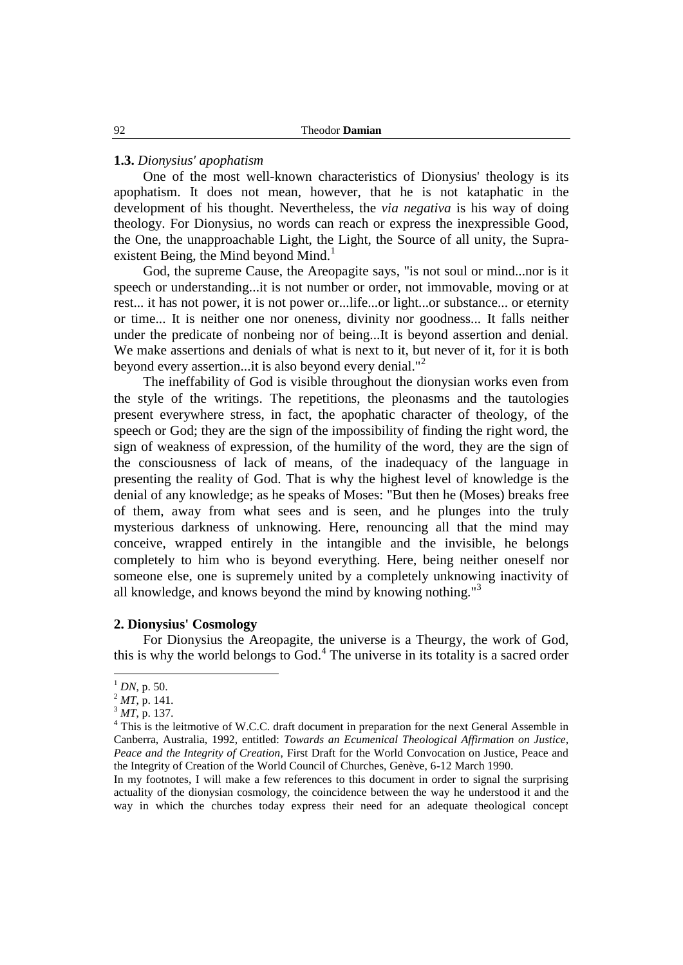### **1.3.** *Dionysius' apophatism*

One of the most well-known characteristics of Dionysius' theology is its apophatism. It does not mean, however, that he is not kataphatic in the development of his thought. Nevertheless, the *via negativa* is his way of doing theology. For Dionysius, no words can reach or express the inexpressible Good, the One, the unapproachable Light, the Light, the Source of all unity, the Supraexistent Being, the Mind beyond Mind.<sup>1</sup>

God, the supreme Cause, the Areopagite says, "is not soul or mind...nor is it speech or understanding...it is not number or order, not immovable, moving or at rest... it has not power, it is not power or...life...or light...or substance... or eternity or time... It is neither one nor oneness, divinity nor goodness... It falls neither under the predicate of nonbeing nor of being...It is beyond assertion and denial. We make assertions and denials of what is next to it, but never of it, for it is both beyond every assertion...it is also beyond every denial."<sup>2</sup>

The ineffability of God is visible throughout the dionysian works even from the style of the writings. The repetitions, the pleonasms and the tautologies present everywhere stress, in fact, the apophatic character of theology, of the speech or God; they are the sign of the impossibility of finding the right word, the sign of weakness of expression, of the humility of the word, they are the sign of the consciousness of lack of means, of the inadequacy of the language in presenting the reality of God. That is why the highest level of knowledge is the denial of any knowledge; as he speaks of Moses: "But then he (Moses) breaks free of them, away from what sees and is seen, and he plunges into the truly mysterious darkness of unknowing. Here, renouncing all that the mind may conceive, wrapped entirely in the intangible and the invisible, he belongs completely to him who is beyond everything. Here, being neither oneself nor someone else, one is supremely united by a completely unknowing inactivity of all knowledge, and knows beyond the mind by knowing nothing.<sup>3</sup>

## **2. Dionysius' Cosmology**

For Dionysius the Areopagite, the universe is a Theurgy, the work of God, this is why the world belongs to God.<sup>4</sup> The universe in its totality is a sacred order

 $1$  *DN*, p. 50.

 $^{2}$  *MT*, p. 141.

<sup>3</sup> *MT*, p. 137.

<sup>&</sup>lt;sup>4</sup> This is the leitmotive of W.C.C. draft document in preparation for the next General Assemble in Canberra, Australia, 1992, entitled: *Towards an Ecumenical Theological Affirmation on Justice, Peace and the Integrity of Creation*, First Draft for the World Convocation on Justice, Peace and the Integrity of Creation of the World Council of Churches, Genève, 6-12 March 1990.

In my footnotes, I will make a few references to this document in order to signal the surprising actuality of the dionysian cosmology, the coincidence between the way he understood it and the way in which the churches today express their need for an adequate theological concept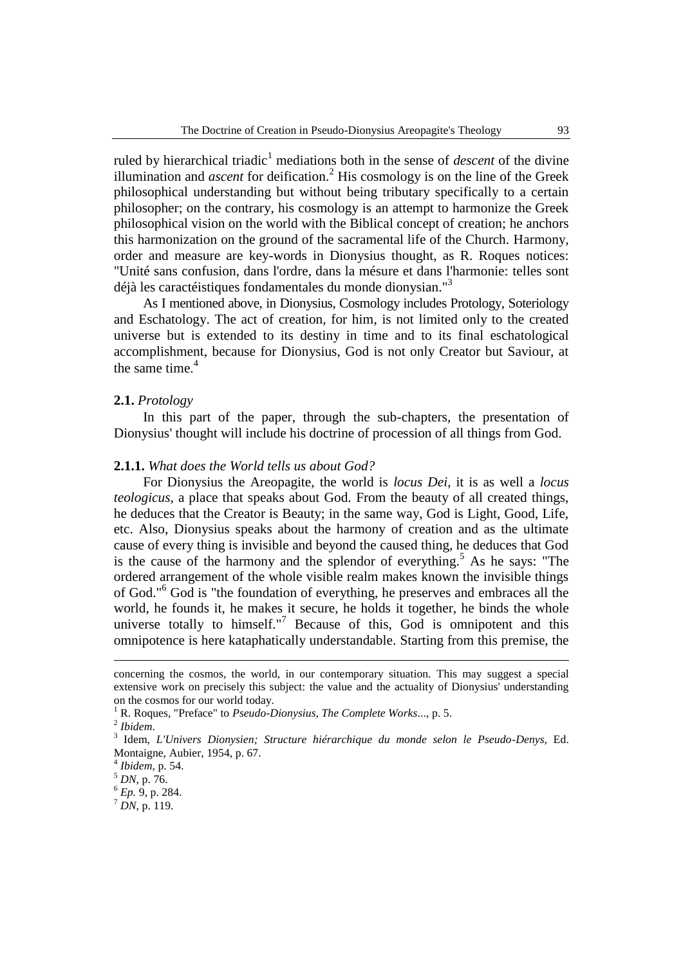ruled by hierarchical triadic<sup>1</sup> mediations both in the sense of *descent* of the divine illumination and *ascent* for deification.<sup>2</sup> His cosmology is on the line of the Greek philosophical understanding but without being tributary specifically to a certain philosopher; on the contrary, his cosmology is an attempt to harmonize the Greek philosophical vision on the world with the Biblical concept of creation; he anchors this harmonization on the ground of the sacramental life of the Church. Harmony, order and measure are key-words in Dionysius thought, as R. Roques notices: "Unité sans confusion, dans l'ordre, dans la mésure et dans l'harmonie: telles sont déjà les caractéistiques fondamentales du monde dionysian."<sup>3</sup>

As I mentioned above, in Dionysius, Cosmology includes Protology, Soteriology and Eschatology. The act of creation, for him, is not limited only to the created universe but is extended to its destiny in time and to its final eschatological accomplishment, because for Dionysius, God is not only Creator but Saviour, at the same time. $4$ 

### **2.1.** *Protology*

In this part of the paper, through the sub-chapters, the presentation of Dionysius' thought will include his doctrine of procession of all things from God.

### **2.1.1.** *What does the World tells us about God?*

For Dionysius the Areopagite, the world is *locus Dei*, it is as well a *locus teologicus*, a place that speaks about God. From the beauty of all created things, he deduces that the Creator is Beauty; in the same way, God is Light, Good, Life, etc. Also, Dionysius speaks about the harmony of creation and as the ultimate cause of every thing is invisible and beyond the caused thing, he deduces that God is the cause of the harmony and the splendor of everything.<sup>5</sup> As he says: "The ordered arrangement of the whole visible realm makes known the invisible things of God."<sup>6</sup> God is "the foundation of everything, he preserves and embraces all the world, he founds it, he makes it secure, he holds it together, he binds the whole universe totally to himself."<sup>7</sup> Because of this, God is omnipotent and this omnipotence is here kataphatically understandable. Starting from this premise, the

<u>.</u>

<sup>6</sup> *Ep.* 9, p. 284.

concerning the cosmos, the world, in our contemporary situation. This may suggest a special extensive work on precisely this subject: the value and the actuality of Dionysius' understanding on the cosmos for our world today.

<sup>1</sup> R. Roques, "Preface" to *Pseudo-Dionysius, The Complete Works*..., p. 5.

<sup>2</sup> *Ibidem*.

<sup>3</sup> Idem, *L'Univers Dionysien; Structure hiérarchique du monde selon le Pseudo-Denys*, Ed. Montaigne, Aubier, 1954, p. 67.

<sup>4</sup> *Ibidem*, p. 54.

<sup>5</sup> *DN*, p. 76.

 $^7$  *DN*, p. 119.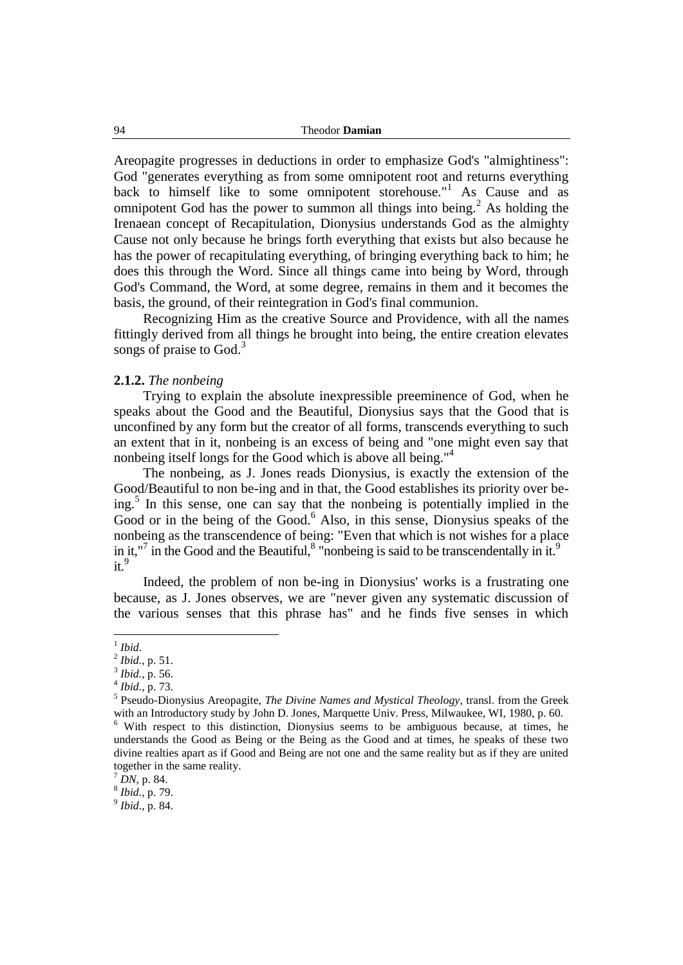Areopagite progresses in deductions in order to emphasize God's "almightiness": God "generates everything as from some omnipotent root and returns everything back to himself like to some omnipotent storehouse."<sup>1</sup> As Cause and as omnipotent God has the power to summon all things into being.<sup>2</sup> As holding the Irenaean concept of Recapitulation, Dionysius understands God as the almighty Cause not only because he brings forth everything that exists but also because he has the power of recapitulating everything, of bringing everything back to him; he does this through the Word. Since all things came into being by Word, through God's Command, the Word, at some degree, remains in them and it becomes the basis, the ground, of their reintegration in God's final communion.

Recognizing Him as the creative Source and Providence, with all the names fittingly derived from all things he brought into being, the entire creation elevates songs of praise to  $God.<sup>3</sup>$ 

### **2.1.2.** *The nonbeing*

Trying to explain the absolute inexpressible preeminence of God, when he speaks about the Good and the Beautiful, Dionysius says that the Good that is unconfined by any form but the creator of all forms, transcends everything to such an extent that in it, nonbeing is an excess of being and "one might even say that nonbeing itself longs for the Good which is above all being."<sup>4</sup>

The nonbeing, as J. Jones reads Dionysius, is exactly the extension of the Good/Beautiful to non be-ing and in that, the Good establishes its priority over being.<sup>5</sup> In this sense, one can say that the nonbeing is potentially implied in the Good or in the being of the Good. $<sup>6</sup>$  Also, in this sense, Dionysius speaks of the</sup> nonbeing as the transcendence of being: "Even that which is not wishes for a place in it,"<sup>7</sup> in the Good and the Beautiful, $8$  "nonbeing is said to be transcendentally in it.<sup>9</sup>  $it<sup>9</sup>$ 

Indeed, the problem of non be-ing in Dionysius' works is a frustrating one because, as J. Jones observes, we are "never given any systematic discussion of the various senses that this phrase has" and he finds five senses in which

9 *Ibid*., p. 84.

 1 *Ibid*.

<sup>2</sup> *Ibid.*, p. 51.

<sup>3</sup> *Ibid.,* p. 56.

<sup>4</sup> *Ibid.,* p. 73.

<sup>5</sup> Pseudo-Dionysius Areopagite, *The Divine Names and Mystical Theology*, transl. from the Greek with an Introductory study by John D. Jones, Marquette Univ. Press, Milwaukee, WI, 1980, p. 60. <sup>6</sup> With respect to this distinction, Dionysius seems to be ambiguous because, at times, he understands the Good as Being or the Being as the Good and at times, he speaks of these two divine realties apart as if Good and Being are not one and the same reality but as if they are united together in the same reality.

 $^{7}$  *DN*, p. 84.

<sup>8</sup> *Ibid.,* p. 79.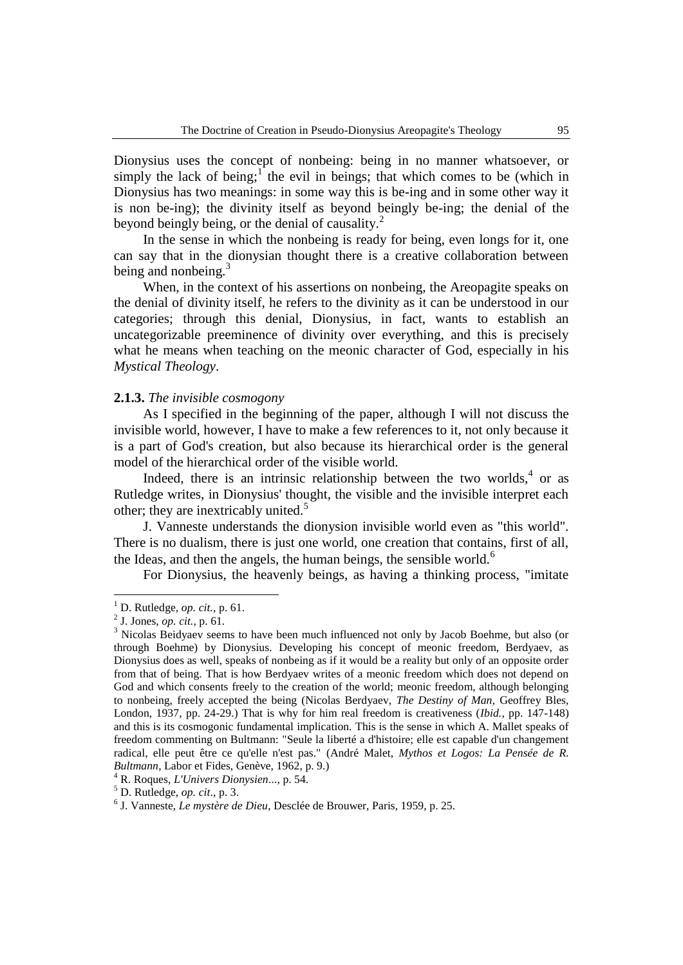Dionysius uses the concept of nonbeing: being in no manner whatsoever, or simply the lack of being;<sup>1</sup> the evil in beings; that which comes to be (which in Dionysius has two meanings: in some way this is be-ing and in some other way it is non be-ing); the divinity itself as beyond beingly be-ing; the denial of the beyond beingly being, or the denial of causality.<sup>2</sup>

In the sense in which the nonbeing is ready for being, even longs for it, one can say that in the dionysian thought there is a creative collaboration between being and nonbeing. $3$ 

When, in the context of his assertions on nonbeing, the Areopagite speaks on the denial of divinity itself, he refers to the divinity as it can be understood in our categories; through this denial, Dionysius, in fact, wants to establish an uncategorizable preeminence of divinity over everything, and this is precisely what he means when teaching on the meonic character of God, especially in his *Mystical Theology*.

### **2.1.3.** *The invisible cosmogony*

As I specified in the beginning of the paper, although I will not discuss the invisible world, however, I have to make a few references to it, not only because it is a part of God's creation, but also because its hierarchical order is the general model of the hierarchical order of the visible world.

Indeed, there is an intrinsic relationship between the two worlds,  $4$  or as Rutledge writes, in Dionysius' thought, the visible and the invisible interpret each other; they are inextricably united.<sup>5</sup>

J. Vanneste understands the dionysion invisible world even as "this world". There is no dualism, there is just one world, one creation that contains, first of all, the Ideas, and then the angels, the human beings, the sensible world. $<sup>6</sup>$ </sup>

For Dionysius, the heavenly beings, as having a thinking process, "imitate

 $\overline{a}$ 

<sup>4</sup> R. Roques, *L'Univers Dionysien*..., p. 54.

<sup>1</sup> D. Rutledge, *op. cit.,* p. 61.

<sup>2</sup> J. Jones, *op. cit.,* p. 61.

<sup>&</sup>lt;sup>3</sup> Nicolas Beidyaev seems to have been much influenced not only by Jacob Boehme, but also (or through Boehme) by Dionysius. Developing his concept of meonic freedom, Berdyaev, as Dionysius does as well, speaks of nonbeing as if it would be a reality but only of an opposite order from that of being. That is how Berdyaev writes of a meonic freedom which does not depend on God and which consents freely to the creation of the world; meonic freedom, although belonging to nonbeing, freely accepted the being (Nicolas Berdyaev, *The Destiny of Man*, Geoffrey Bles, London, 1937, pp. 24-29.) That is why for him real freedom is creativeness (*Ibid.*, pp. 147-148) and this is its cosmogonic fundamental implication. This is the sense in which A. Mallet speaks of freedom commenting on Bultmann: "Seule la liberté a d'histoire; elle est capable d'un changement radical, elle peut être ce qu'elle n'est pas." (André Malet, *Mythos et Logos: La Pensée de R. Bultmann*, Labor et Fides, Genève, 1962, p. 9.)

<sup>5</sup> D. Rutledge, *op. cit*., p. 3.

<sup>6</sup> J. Vanneste, *Le mystère de Dieu*, Desclée de Brouwer, Paris, 1959, p. 25.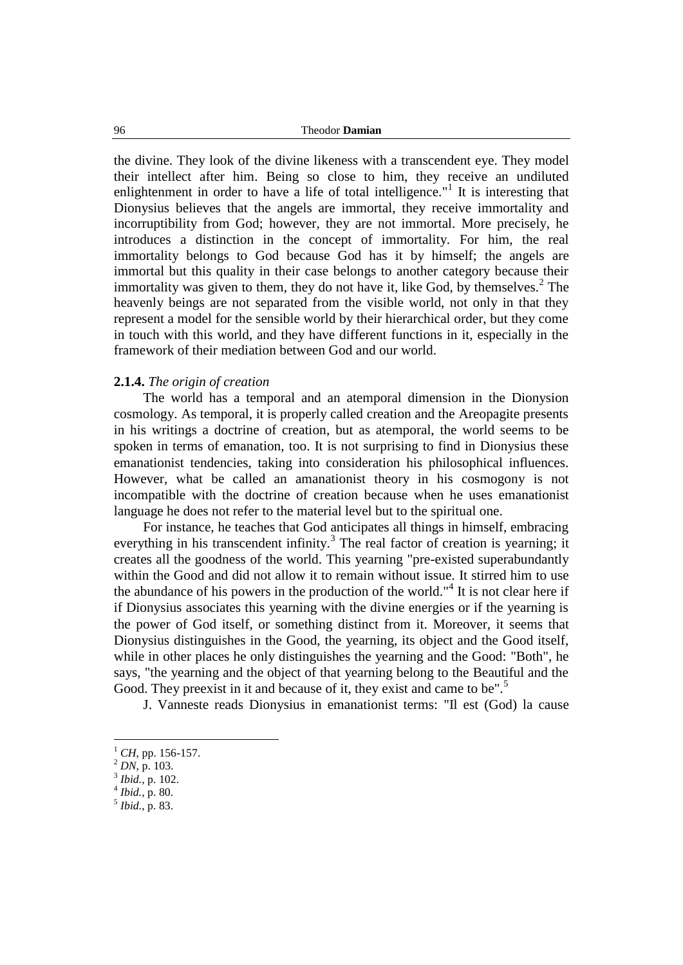96 Theodor **Damian**

the divine. They look of the divine likeness with a transcendent eye. They model their intellect after him. Being so close to him, they receive an undiluted enlightenment in order to have a life of total intelligence."<sup>1</sup> It is interesting that Dionysius believes that the angels are immortal, they receive immortality and incorruptibility from God; however, they are not immortal. More precisely, he introduces a distinction in the concept of immortality. For him, the real immortality belongs to God because God has it by himself; the angels are immortal but this quality in their case belongs to another category because their immortality was given to them, they do not have it, like God, by themselves.<sup>2</sup> The heavenly beings are not separated from the visible world, not only in that they represent a model for the sensible world by their hierarchical order, but they come in touch with this world, and they have different functions in it, especially in the framework of their mediation between God and our world.

### **2.1.4.** *The origin of creation*

The world has a temporal and an atemporal dimension in the Dionysion cosmology. As temporal, it is properly called creation and the Areopagite presents in his writings a doctrine of creation, but as atemporal, the world seems to be spoken in terms of emanation, too. It is not surprising to find in Dionysius these emanationist tendencies, taking into consideration his philosophical influences. However, what be called an amanationist theory in his cosmogony is not incompatible with the doctrine of creation because when he uses emanationist language he does not refer to the material level but to the spiritual one.

For instance, he teaches that God anticipates all things in himself, embracing everything in his transcendent infinity.<sup>3</sup> The real factor of creation is yearning; it creates all the goodness of the world. This yearning "pre-existed superabundantly within the Good and did not allow it to remain without issue. It stirred him to use the abundance of his powers in the production of the world."<sup>4</sup> It is not clear here if if Dionysius associates this yearning with the divine energies or if the yearning is the power of God itself, or something distinct from it. Moreover, it seems that Dionysius distinguishes in the Good, the yearning, its object and the Good itself, while in other places he only distinguishes the yearning and the Good: "Both", he says, "the yearning and the object of that yearning belong to the Beautiful and the Good. They preexist in it and because of it, they exist and came to be".<sup>5</sup>

J. Vanneste reads Dionysius in emanationist terms: "Il est (God) la cause

 $^{1}$  *CH*, pp. 156-157.

<sup>2</sup> *DN*, p. 103.

<sup>3</sup> *Ibid.,* p. 102.

<sup>4</sup> *Ibid.,* p. 80.

<sup>5</sup> *Ibid.*, p. 83.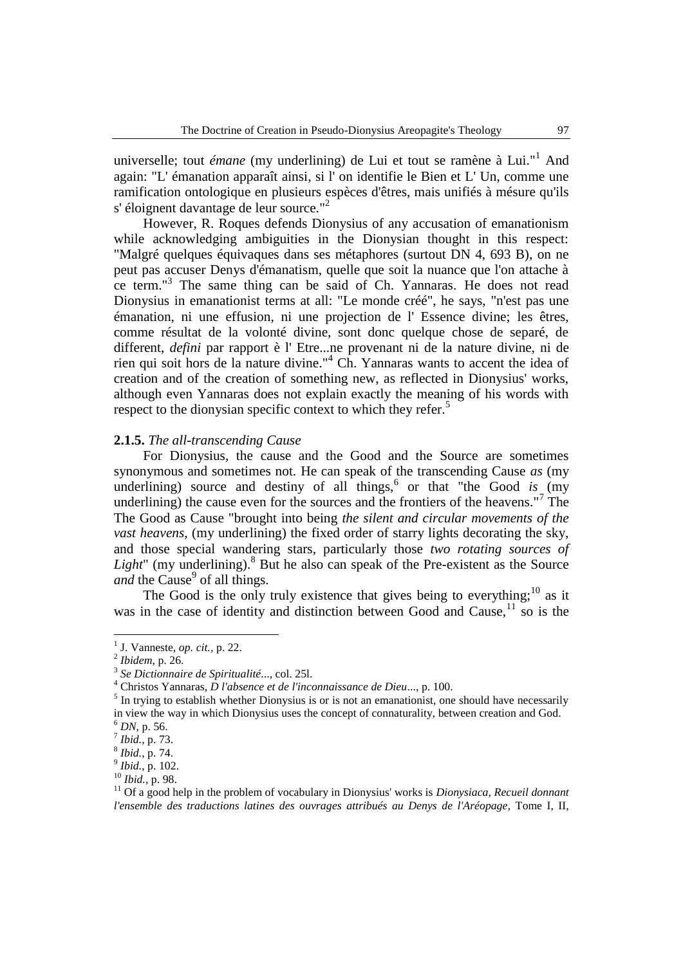universelle; tout *émane* (my underlining) de Lui et tout se ramène à Lui."<sup>1</sup> And again: "L' émanation apparaît ainsi, si l' on identifie le Bien et L' Un, comme une ramification ontologique en plusieurs espèces d'êtres, mais unifiés à mésure qu'ils s' éloignent davantage de leur source."<sup>2</sup>

However, R. Roques defends Dionysius of any accusation of emanationism while acknowledging ambiguities in the Dionysian thought in this respect: "Malgré quelques équivaques dans ses métaphores (surtout DN 4, 693 B), on ne peut pas accuser Denys d'émanatism, quelle que soit la nuance que l'on attache à ce term."<sup>3</sup> The same thing can be said of Ch. Yannaras. He does not read Dionysius in emanationist terms at all: "Le monde créé", he says, "n'est pas une émanation, ni une effusion, ni une projection de l' Essence divine; les êtres, comme résultat de la volonté divine, sont donc quelque chose de separé, de different, *defini* par rapport è l' Etre...ne provenant ni de la nature divine, ni de rien qui soit hors de la nature divine."<sup>4</sup> Ch. Yannaras wants to accent the idea of creation and of the creation of something new, as reflected in Dionysius' works, although even Yannaras does not explain exactly the meaning of his words with respect to the dionysian specific context to which they refer.<sup>5</sup>

#### **2.1.5.** *The all-transcending Cause*

For Dionysius, the cause and the Good and the Source are sometimes synonymous and sometimes not. He can speak of the transcending Cause *as* (my underlining) source and destiny of all things,<sup>6</sup> or that "the Good *is* (my underlining) the cause even for the sources and the frontiers of the heavens."<sup>7</sup> The The Good as Cause "brought into being *the silent and circular movements of the vast heavens*, (my underlining) the fixed order of starry lights decorating the sky, and those special wandering stars, particularly those *two rotating sources of*  Light" (my underlining).<sup>8</sup> But he also can speak of the Pre-existent as the Source and the Cause<sup>9</sup> of all things.

The Good is the only truly existence that gives being to everything;<sup>10</sup> as it was in the case of identity and distinction between Good and Cause, $11$  so is the

<sup>1</sup> J. Vanneste, *op. cit.,* p. 22.

<sup>2</sup> *Ibidem*, p. 26.

<sup>3</sup> *Se Dictionnaire de Spiritualité*..., col. 25l.

<sup>4</sup> Christos Yannaras, *D l'absence et de l'inconnaissance de Dieu*..., p. 100.

 $<sup>5</sup>$  In trying to establish whether Dionysius is or is not an emanationist, one should have necessarily</sup> in view the way in which Dionysius uses the concept of connaturality, between creation and God. <sup>6</sup> *DN*, p. 56.

 $^{7}$  *Ibid.*, p. 73.

<sup>8</sup> *Ibid.*, p. 74.

<sup>9</sup> *Ibid.*, p. 102.

<sup>10</sup> *Ibid.*, p. 98.

<sup>&</sup>lt;sup>11</sup> Of a good help in the problem of vocabulary in Dionysius' works is *Dionysiaca, Recueil donnant l'ensemble des traductions latines des ouvrages attribués au Denys de l'Aréopage*, Tome I, II,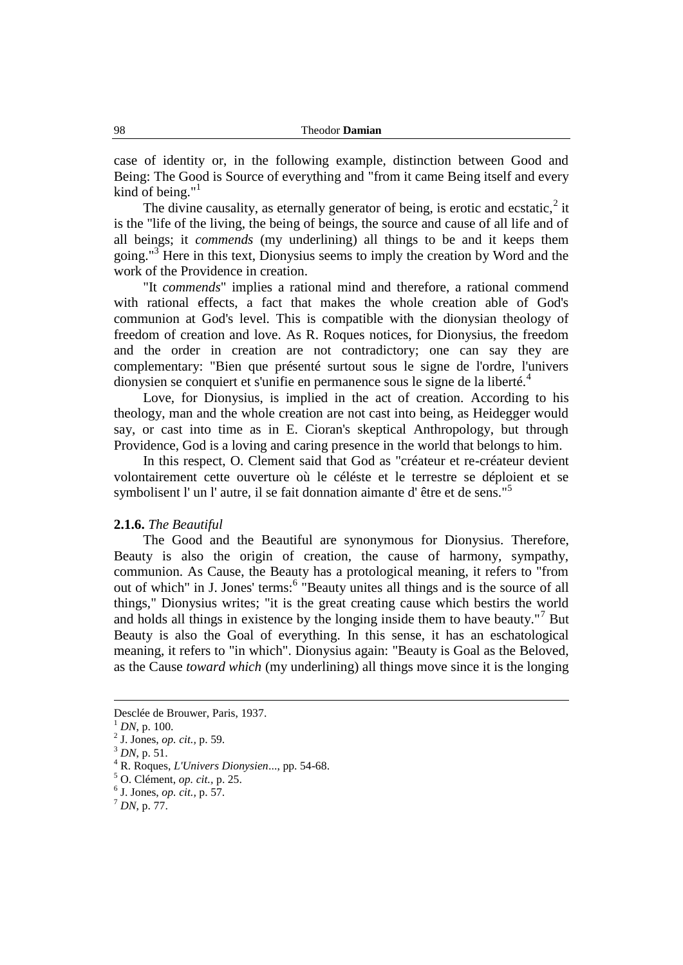case of identity or, in the following example, distinction between Good and Being: The Good is Source of everything and "from it came Being itself and every kind of being." $1$ 

The divine causality, as eternally generator of being, is erotic and ecstatic, $2$  it is the "life of the living, the being of beings, the source and cause of all life and of all beings; it *commends* (my underlining) all things to be and it keeps them going."<sup>3</sup> Here in this text, Dionysius seems to imply the creation by Word and the work of the Providence in creation.

"It *commends*" implies a rational mind and therefore, a rational commend with rational effects, a fact that makes the whole creation able of God's communion at God's level. This is compatible with the dionysian theology of freedom of creation and love. As R. Roques notices, for Dionysius, the freedom and the order in creation are not contradictory; one can say they are complementary: "Bien que présenté surtout sous le signe de l'ordre, l'univers dionysien se conquiert et s'unifie en permanence sous le signe de la liberté.<sup>4</sup>

Love, for Dionysius, is implied in the act of creation. According to his theology, man and the whole creation are not cast into being, as Heidegger would say, or cast into time as in E. Cioran's skeptical Anthropology, but through Providence, God is a loving and caring presence in the world that belongs to him.

In this respect, O. Clement said that God as "créateur et re-créateur devient volontairement cette ouverture où le céléste et le terrestre se déploient et se symbolisent l'un l'autre, il se fait donnation aimante d'être et de sens."<sup>5</sup>

## **2.1.6.** *The Beautiful*

The Good and the Beautiful are synonymous for Dionysius. Therefore, Beauty is also the origin of creation, the cause of harmony, sympathy, communion. As Cause, the Beauty has a protological meaning, it refers to "from out of which" in J. Jones' terms:<sup>6</sup> "Beauty unites all things and is the source of all things," Dionysius writes; "it is the great creating cause which bestirs the world and holds all things in existence by the longing inside them to have beauty."<sup>7</sup> But Beauty is also the Goal of everything. In this sense, it has an eschatological meaning, it refers to "in which". Dionysius again: "Beauty is Goal as the Beloved, as the Cause *toward which* (my underlining) all things move since it is the longing

<u>.</u>

Desclée de Brouwer, Paris, 1937.

<sup>1</sup> *DN*, p. 100.

<sup>2</sup> J. Jones, *op. cit.,* p. 59.

<sup>3</sup> *DN*, p. 51.

<sup>4</sup> R. Roques, *L'Univers Dionysien*..., pp. 54-68.

<sup>5</sup> O. Clément, *op. cit.,* p. 25.

<sup>6</sup> J. Jones, *op. cit.,* p. 57.

<sup>7</sup> *DN*, p. 77.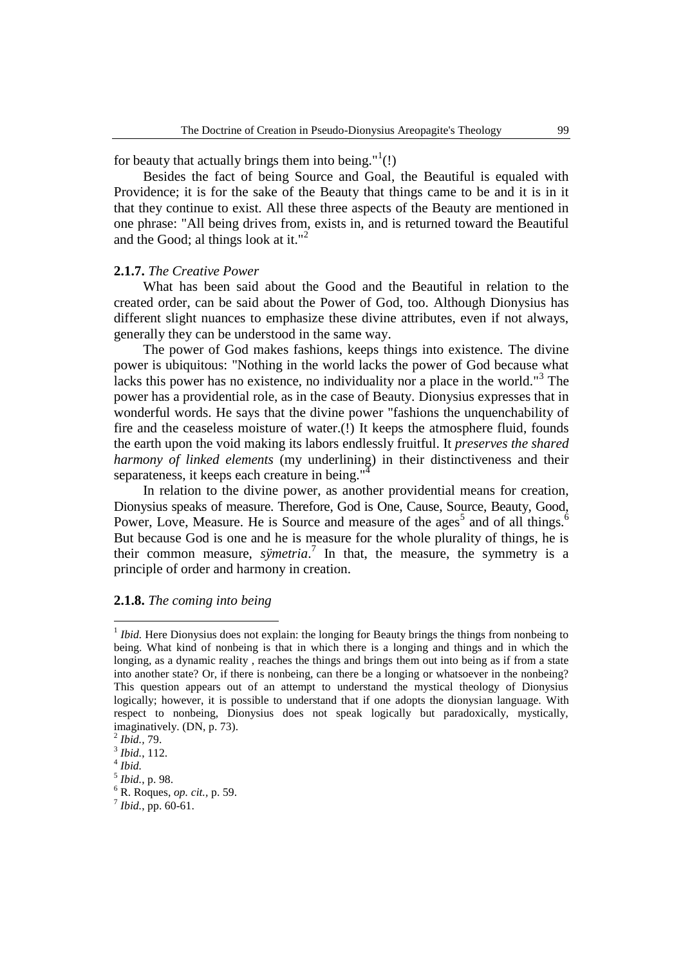## for beauty that actually brings them into being."<sup>1</sup>(!)

Besides the fact of being Source and Goal, the Beautiful is equaled with Providence; it is for the sake of the Beauty that things came to be and it is in it that they continue to exist. All these three aspects of the Beauty are mentioned in one phrase: "All being drives from, exists in, and is returned toward the Beautiful and the Good; al things look at it."<sup>2</sup>

## **2.1.7.** *The Creative Power*

What has been said about the Good and the Beautiful in relation to the created order, can be said about the Power of God, too. Although Dionysius has different slight nuances to emphasize these divine attributes, even if not always, generally they can be understood in the same way.

The power of God makes fashions, keeps things into existence. The divine power is ubiquitous: "Nothing in the world lacks the power of God because what lacks this power has no existence, no individuality nor a place in the world."<sup>3</sup> The power has a providential role, as in the case of Beauty. Dionysius expresses that in wonderful words. He says that the divine power "fashions the unquenchability of fire and the ceaseless moisture of water.(!) It keeps the atmosphere fluid, founds the earth upon the void making its labors endlessly fruitful. It *preserves the shared harmony of linked elements* (my underlining) in their distinctiveness and their separateness, it keeps each creature in being."

In relation to the divine power, as another providential means for creation, Dionysius speaks of measure. Therefore, God is One, Cause, Source, Beauty, Good, Power, Love, Measure. He is Source and measure of the ages<sup>5</sup> and of all things.<sup>6</sup> But because God is one and he is measure for the whole plurality of things, he is their common measure, *sÿmetria*. 7 In that, the measure, the symmetry is a principle of order and harmony in creation.

#### **2.1.8.** *The coming into being*

<sup>&</sup>lt;sup>1</sup> Ibid. Here Dionysius does not explain: the longing for Beauty brings the things from nonbeing to being. What kind of nonbeing is that in which there is a longing and things and in which the longing, as a dynamic reality , reaches the things and brings them out into being as if from a state into another state? Or, if there is nonbeing, can there be a longing or whatsoever in the nonbeing? This question appears out of an attempt to understand the mystical theology of Dionysius logically; however, it is possible to understand that if one adopts the dionysian language. With respect to nonbeing, Dionysius does not speak logically but paradoxically, mystically, imaginatively. (DN, p. 73).

<sup>2</sup> *Ibid.,* 79.

<sup>3</sup> *Ibid.*, 112.

<sup>4</sup> *Ibid.*

<sup>5</sup> *Ibid.*, p. 98.

<sup>6</sup> R. Roques, *op. cit.,* p. 59.

<sup>7</sup> *Ibid.*, pp. 60-61.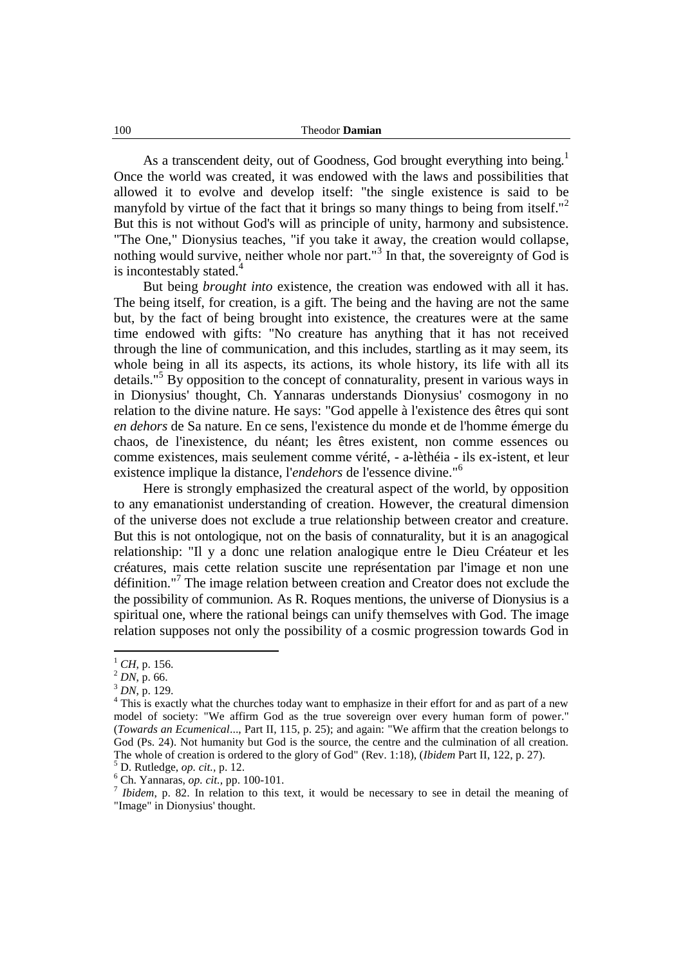As a transcendent deity, out of Goodness, God brought everything into being.<sup>1</sup> Once the world was created, it was endowed with the laws and possibilities that allowed it to evolve and develop itself: "the single existence is said to be manyfold by virtue of the fact that it brings so many things to being from itself."<sup>2</sup> But this is not without God's will as principle of unity, harmony and subsistence. "The One," Dionysius teaches, "if you take it away, the creation would collapse, nothing would survive, neither whole nor part."<sup>3</sup> In that, the sovereignty of God is is incontestably stated. $4$ 

But being *brought into* existence, the creation was endowed with all it has. The being itself, for creation, is a gift. The being and the having are not the same but, by the fact of being brought into existence, the creatures were at the same time endowed with gifts: "No creature has anything that it has not received through the line of communication, and this includes, startling as it may seem, its whole being in all its aspects, its actions, its whole history, its life with all its details."<sup>5</sup> By opposition to the concept of connaturality, present in various ways in in Dionysius' thought, Ch. Yannaras understands Dionysius' cosmogony in no relation to the divine nature. He says: "God appelle à l'existence des êtres qui sont *en dehors* de Sa nature. En ce sens, l'existence du monde et de l'homme émerge du chaos, de l'inexistence, du néant; les êtres existent, non comme essences ou comme existences, mais seulement comme vérité, - a-lèthéia - ils ex-istent, et leur existence implique la distance, l'*endehors* de l'essence divine."<sup>6</sup>

Here is strongly emphasized the creatural aspect of the world, by opposition to any emanationist understanding of creation. However, the creatural dimension of the universe does not exclude a true relationship between creator and creature. But this is not ontologique, not on the basis of connaturality, but it is an anagogical relationship: "Il y a donc une relation analogique entre le Dieu Créateur et les créatures, mais cette relation suscite une représentation par l'image et non une définition."<sup>7</sup> The image relation between creation and Creator does not exclude the the possibility of communion. As R. Roques mentions, the universe of Dionysius is a spiritual one, where the rational beings can unify themselves with God. The image relation supposes not only the possibility of a cosmic progression towards God in

 $\overline{a}$ 

<sup>5</sup> D. Rutledge, *op. cit.,* p. 12.

<sup>6</sup> Ch. Yannaras, *op. cit.,* pp. 100-101.

 $^{1}$  *CH*, p. 156.

<sup>2</sup> *DN*, p. 66.

<sup>3</sup> *DN*, p. 129.

<sup>&</sup>lt;sup>4</sup> This is exactly what the churches today want to emphasize in their effort for and as part of a new model of society: "We affirm God as the true sovereign over every human form of power." (*Towards an Ecumenical*..., Part II, 115, p. 25); and again: "We affirm that the creation belongs to God (Ps. 24). Not humanity but God is the source, the centre and the culmination of all creation. The whole of creation is ordered to the glory of God" (Rev. 1:18), (*Ibidem* Part II, 122, p. 27).

<sup>&</sup>lt;sup>7</sup> Ibidem, p. 82. In relation to this text, it would be necessary to see in detail the meaning of "Image" in Dionysius' thought.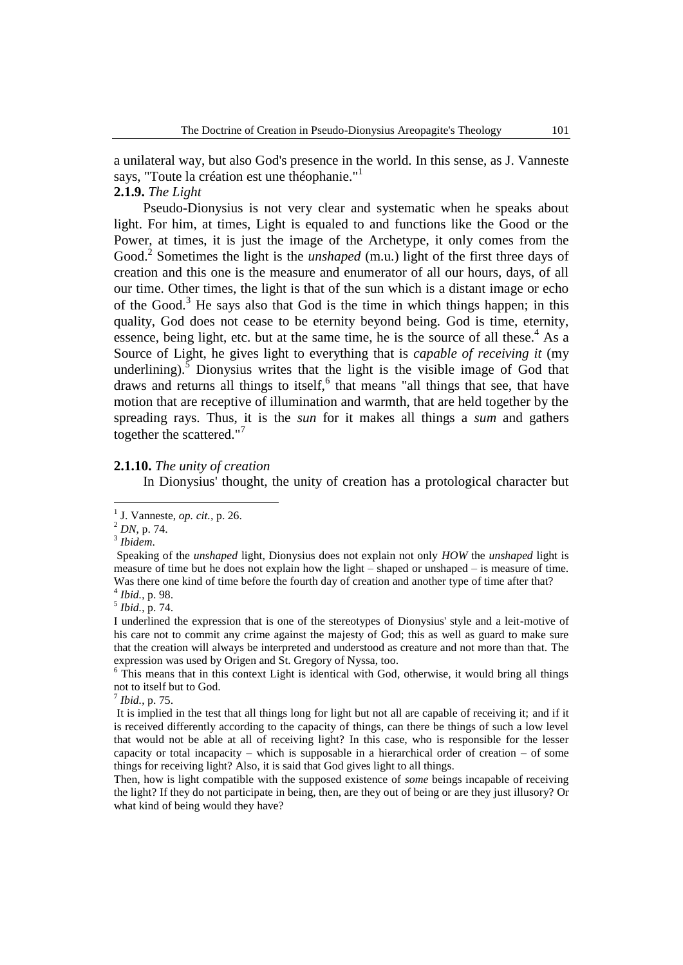a unilateral way, but also God's presence in the world. In this sense, as J. Vanneste says, "Toute la création est une théophanie."<sup>1</sup>

## **2.1.9.** *The Light*

Pseudo-Dionysius is not very clear and systematic when he speaks about light. For him, at times, Light is equaled to and functions like the Good or the Power, at times, it is just the image of the Archetype, it only comes from the Good.<sup>2</sup> Sometimes the light is the *unshaped* (m.u.) light of the first three days of creation and this one is the measure and enumerator of all our hours, days, of all our time. Other times, the light is that of the sun which is a distant image or echo of the Good.<sup>3</sup> He says also that God is the time in which things happen; in this quality, God does not cease to be eternity beyond being. God is time, eternity, essence, being light, etc. but at the same time, he is the source of all these.<sup>4</sup> As a Source of Light, he gives light to everything that is *capable of receiving it* (my underlining).<sup>5</sup> Dionysius writes that the light is the visible image of God that draws and returns all things to itself,<sup>6</sup> that means "all things that see, that have motion that are receptive of illumination and warmth, that are held together by the spreading rays. Thus, it is the *sun* for it makes all things a *sum* and gathers together the scattered."<sup>7</sup>

### **2.1.10.** *The unity of creation*

In Dionysius' thought, the unity of creation has a protological character but

<sup>2</sup> *DN*, p. 74. 3 *Ibidem*.

 $\overline{a}$ 

4 *Ibid.*, p. 98. 5 *Ibid.*, p. 74.

I underlined the expression that is one of the stereotypes of Dionysius' style and a leit-motive of his care not to commit any crime against the majesty of God; this as well as guard to make sure that the creation will always be interpreted and understood as creature and not more than that. The expression was used by Origen and St. Gregory of Nyssa, too.

 $6$  This means that in this context Light is identical with God, otherwise, it would bring all things not to itself but to God.

7 *Ibid.*, p. 75.

It is implied in the test that all things long for light but not all are capable of receiving it; and if it is received differently according to the capacity of things, can there be things of such a low level that would not be able at all of receiving light? In this case, who is responsible for the lesser capacity or total incapacity – which is supposable in a hierarchical order of creation – of some things for receiving light? Also, it is said that God gives light to all things.

Then, how is light compatible with the supposed existence of *some* beings incapable of receiving the light? If they do not participate in being, then, are they out of being or are they just illusory? Or what kind of being would they have?

<sup>1</sup> J. Vanneste, *op. cit.,* p. 26.

Speaking of the *unshaped* light, Dionysius does not explain not only *HOW* the *unshaped* light is measure of time but he does not explain how the light – shaped or unshaped – is measure of time. Was there one kind of time before the fourth day of creation and another type of time after that?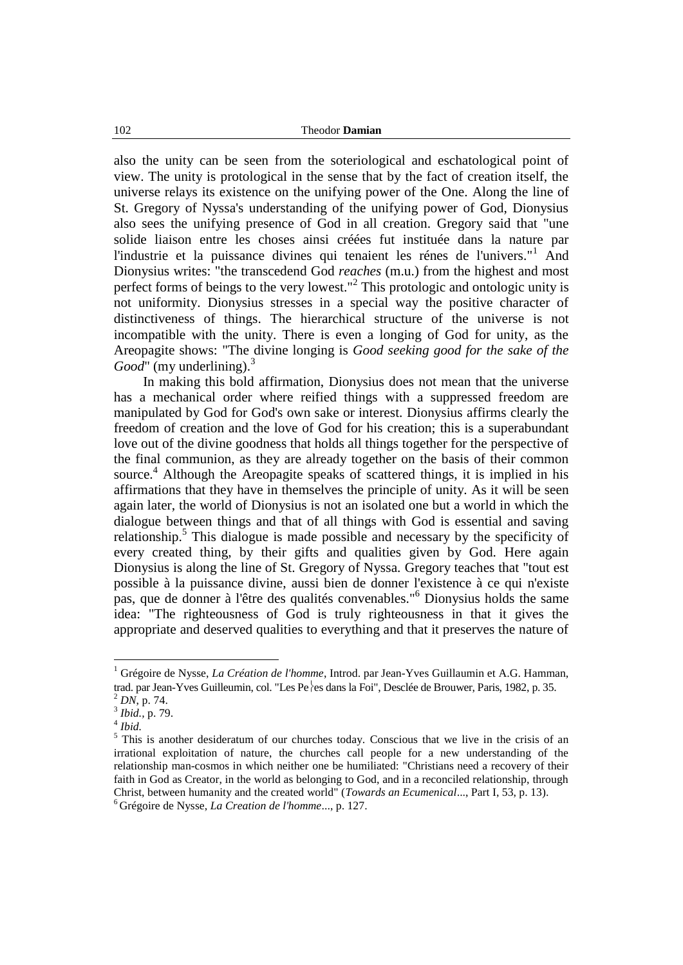also the unity can be seen from the soteriological and eschatological point of view. The unity is protological in the sense that by the fact of creation itself, the universe relays its existence on the unifying power of the One. Along the line of St. Gregory of Nyssa's understanding of the unifying power of God, Dionysius also sees the unifying presence of God in all creation. Gregory said that "une solide liaison entre les choses ainsi créées fut instituée dans la nature par l'industrie et la puissance divines qui tenaient les rénes de l'univers."<sup>1</sup> And Dionysius writes: "the transcedend God *reaches* (m.u.) from the highest and most perfect forms of beings to the very lowest."<sup>2</sup> This protologic and ontologic unity is not uniformity. Dionysius stresses in a special way the positive character of distinctiveness of things. The hierarchical structure of the universe is not incompatible with the unity. There is even a longing of God for unity, as the Areopagite shows: "The divine longing is *Good seeking good for the sake of the Good*" (my underlining).<sup>3</sup>

In making this bold affirmation, Dionysius does not mean that the universe has a mechanical order where reified things with a suppressed freedom are manipulated by God for God's own sake or interest. Dionysius affirms clearly the freedom of creation and the love of God for his creation; this is a superabundant love out of the divine goodness that holds all things together for the perspective of the final communion, as they are already together on the basis of their common source. <sup>4</sup> Although the Areopagite speaks of scattered things, it is implied in his affirmations that they have in themselves the principle of unity. As it will be seen again later, the world of Dionysius is not an isolated one but a world in which the dialogue between things and that of all things with God is essential and saving relationship.<sup>5</sup> This dialogue is made possible and necessary by the specificity of every created thing, by their gifts and qualities given by God. Here again Dionysius is along the line of St. Gregory of Nyssa. Gregory teaches that "tout est possible à la puissance divine, aussi bien de donner l'existence à ce qui n'existe pas, que de donner à l'être des qualités convenables."<sup>6</sup> Dionysius holds the same idea: "The righteousness of God is truly righteousness in that it gives the appropriate and deserved qualities to everything and that it preserves the nature of

<sup>1</sup> Grégoire de Nysse, *La Création de l'homme*, Introd. par Jean-Yves Guillaumin et A.G. Hamman, trad. par Jean-Yves Guilleumin, col. "Les Pe es dans la Foi", Desclée de Brouwer, Paris, 1982, p. 35.

<sup>2</sup> *DN*, p. 74.

<sup>3</sup> *Ibid.,* p. 79.

<sup>4</sup> *Ibid.*

<sup>&</sup>lt;sup>5</sup> This is another desideratum of our churches today. Conscious that we live in the crisis of an irrational exploitation of nature, the churches call people for a new understanding of the relationship man-cosmos in which neither one be humiliated: "Christians need a recovery of their faith in God as Creator, in the world as belonging to God, and in a reconciled relationship, through Christ, between humanity and the created world" (*Towards an Ecumenical*..., Part I, 53, p. 13). <sup>6</sup> Grégoire de Nysse, *La Creation de l'homme*..., p. 127.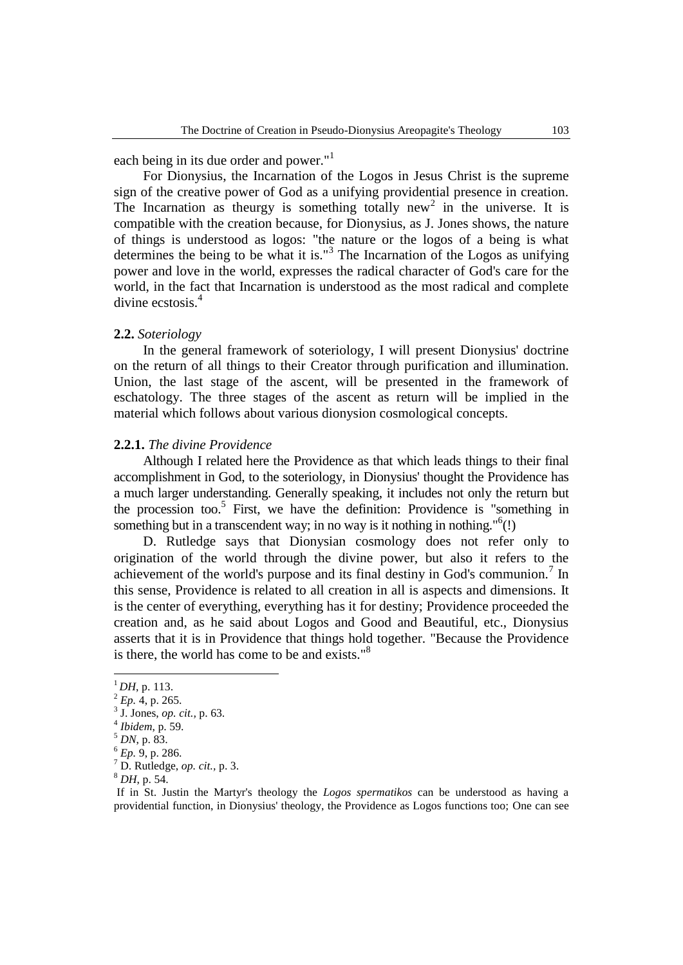each being in its due order and power."<sup>1</sup>

For Dionysius, the Incarnation of the Logos in Jesus Christ is the supreme sign of the creative power of God as a unifying providential presence in creation. The Incarnation as theurgy is something totally new<sup>2</sup> in the universe. It is compatible with the creation because, for Dionysius, as J. Jones shows, the nature of things is understood as logos: "the nature or the logos of a being is what determines the being to be what it is."<sup>3</sup> The Incarnation of the Logos as unifying power and love in the world, expresses the radical character of God's care for the world, in the fact that Incarnation is understood as the most radical and complete divine ecstosis.<sup>4</sup>

## **2.2.** *Soteriology*

In the general framework of soteriology, I will present Dionysius' doctrine on the return of all things to their Creator through purification and illumination. Union, the last stage of the ascent, will be presented in the framework of eschatology. The three stages of the ascent as return will be implied in the material which follows about various dionysion cosmological concepts.

### **2.2.1.** *The divine Providence*

Although I related here the Providence as that which leads things to their final accomplishment in God, to the soteriology, in Dionysius' thought the Providence has a much larger understanding. Generally speaking, it includes not only the return but the procession too.<sup>5</sup> First, we have the definition: Providence is "something in something but in a transcendent way; in no way is it nothing in nothing."<sup>6</sup>(!)

D. Rutledge says that Dionysian cosmology does not refer only to origination of the world through the divine power, but also it refers to the achievement of the world's purpose and its final destiny in God's communion.<sup>7</sup> In this sense, Providence is related to all creation in all is aspects and dimensions. It is the center of everything, everything has it for destiny; Providence proceeded the creation and, as he said about Logos and Good and Beautiful, etc., Dionysius asserts that it is in Providence that things hold together. "Because the Providence is there, the world has come to be and exists."<sup>8</sup>

 $^{1}$ *DH*, p. 113.

 $^{2}$  *Ep.* 4, p. 265.

<sup>3</sup> J. Jones, *op. cit.,* p. 63.

<sup>4</sup> *Ibidem*, p. 59.

<sup>5</sup> *DN*, p. 83.

<sup>6</sup> *Ep.* 9, p. 286.

<sup>7</sup> D. Rutledge, *op. cit.,* p. 3.

<sup>8</sup> *DH*, p. 54.

If in St. Justin the Martyr's theology the *Logos spermatikos* can be understood as having a providential function, in Dionysius' theology, the Providence as Logos functions too; One can see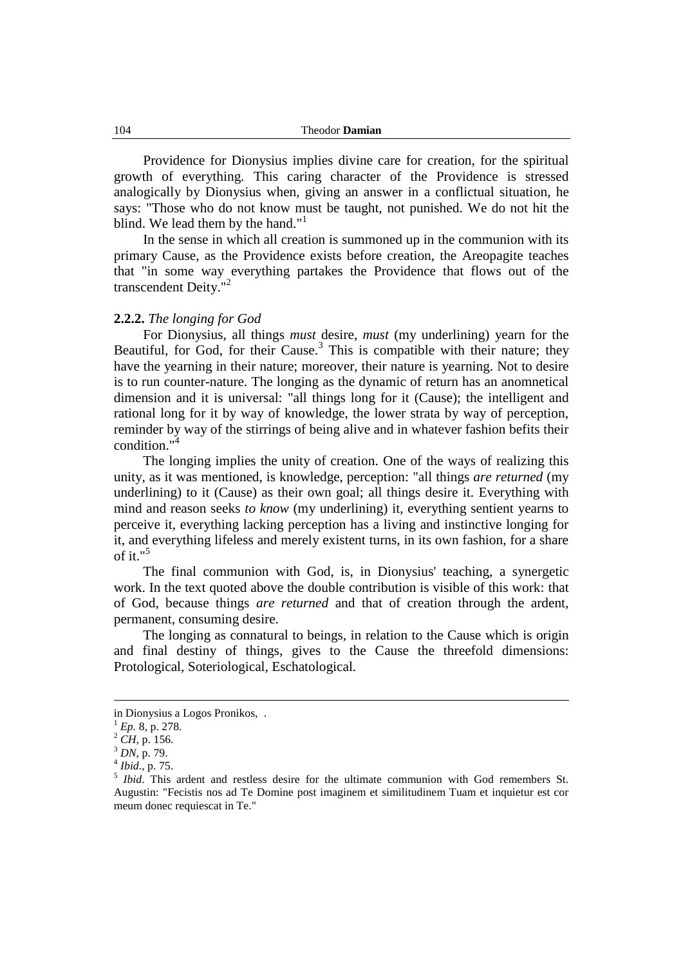Providence for Dionysius implies divine care for creation, for the spiritual growth of everything. This caring character of the Providence is stressed analogically by Dionysius when, giving an answer in a conflictual situation, he says: "Those who do not know must be taught, not punished. We do not hit the blind. We lead them by the hand."<sup>1</sup>

In the sense in which all creation is summoned up in the communion with its primary Cause, as the Providence exists before creation, the Areopagite teaches that "in some way everything partakes the Providence that flows out of the transcendent Deity."<sup>2</sup>

### **2.2.2.** *The longing for God*

For Dionysius, all things *must* desire, *must* (my underlining) yearn for the Beautiful, for God, for their Cause. $3$  This is compatible with their nature; they have the yearning in their nature; moreover, their nature is yearning. Not to desire is to run counter-nature. The longing as the dynamic of return has an anomnetical dimension and it is universal: "all things long for it (Cause); the intelligent and rational long for it by way of knowledge, the lower strata by way of perception, reminder by way of the stirrings of being alive and in whatever fashion befits their condition."<sup>4</sup>

The longing implies the unity of creation. One of the ways of realizing this unity, as it was mentioned, is knowledge, perception: "all things *are returned* (my underlining) to it (Cause) as their own goal; all things desire it. Everything with mind and reason seeks *to know* (my underlining) it, everything sentient yearns to perceive it, everything lacking perception has a living and instinctive longing for it, and everything lifeless and merely existent turns, in its own fashion, for a share of it." $5$ 

The final communion with God, is, in Dionysius' teaching, a synergetic work. In the text quoted above the double contribution is visible of this work: that of God, because things *are returned* and that of creation through the ardent, permanent, consuming desire.

The longing as connatural to beings, in relation to the Cause which is origin and final destiny of things, gives to the Cause the threefold dimensions: Protological, Soteriological, Eschatological.

<u>.</u>

in Dionysius a Logos Pronikos, .

<sup>1</sup> *Ep.* 8, p. 278.

 $^{2}$  *CH*, p. 156.

<sup>3</sup> *DN*, p. 79.

<sup>4</sup> *Ibid*., p. 75.

<sup>&</sup>lt;sup>5</sup> *Ibid*. This ardent and restless desire for the ultimate communion with God remembers St. Augustin: "Fecistis nos ad Te Domine post imaginem et similitudinem Tuam et inquietur est cor meum donec requiescat in Te."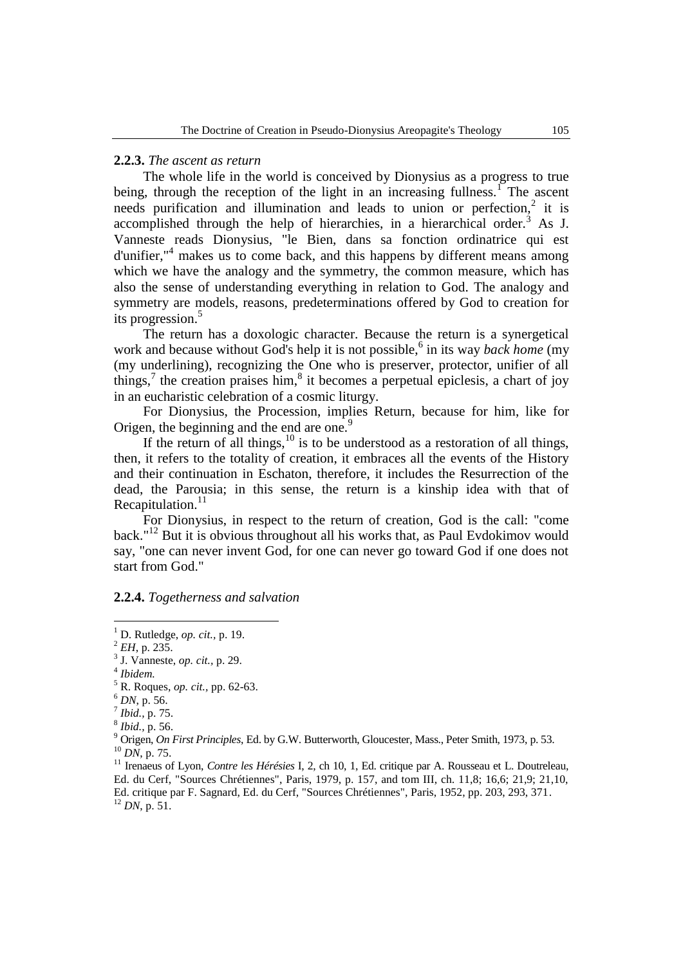### **2.2.3.** *The ascent as return*

The whole life in the world is conceived by Dionysius as a progress to true being, through the reception of the light in an increasing fullness.<sup>1</sup> The ascent needs purification and illumination and leads to union or perfection,<sup>2</sup> it is accomplished through the help of hierarchies, in a hierarchical order.<sup>3</sup> As J. Vanneste reads Dionysius, "le Bien, dans sa fonction ordinatrice qui est d'unifier,"<sup>4</sup> makes us to come back, and this happens by different means among which we have the analogy and the symmetry, the common measure, which has also the sense of understanding everything in relation to God. The analogy and symmetry are models, reasons, predeterminations offered by God to creation for its progression.<sup>5</sup>

The return has a doxologic character. Because the return is a synergetical work and because without God's help it is not possible,<sup>6</sup> in its way *back home* (my (my underlining), recognizing the One who is preserver, protector, unifier of all things,<sup>7</sup> the creation praises him, $^8$  it becomes a perpetual epiclesis, a chart of joy in an eucharistic celebration of a cosmic liturgy.

For Dionysius, the Procession, implies Return, because for him, like for Origen, the beginning and the end are one.<sup>9</sup>

If the return of all things,  $10$  is to be understood as a restoration of all things, then, it refers to the totality of creation, it embraces all the events of the History and their continuation in Eschaton, therefore, it includes the Resurrection of the dead, the Parousia; in this sense, the return is a kinship idea with that of Recapitulation.<sup>11</sup>

For Dionysius, in respect to the return of creation, God is the call: "come back."<sup>12</sup> But it is obvious throughout all his works that, as Paul Evdokimov would say, "one can never invent God, for one can never go toward God if one does not start from God."

### **2.2.4.** *Togetherness and salvation*

<sup>1</sup> D. Rutledge, *op. cit.,* p. 19.

<sup>2</sup> *EH*, p. 235.

<sup>3</sup> J. Vanneste, *op. cit.,* p. 29.

<sup>4</sup> *Ibidem.*

<sup>5</sup> R. Roques, *op. cit.,* pp. 62-63.

<sup>6</sup> *DN*, p. 56.

<sup>7</sup> *Ibid.,* p. 75.

<sup>8</sup> *Ibid.,* p. 56.

<sup>9</sup> Origen, *On First Principles*, Ed. by G.W. Butterworth, Gloucester, Mass., Peter Smith, 1973, p. 53. <sup>10</sup> *DN*, p. 75.

<sup>&</sup>lt;sup>11</sup> Irenaeus of Lyon, *Contre les Hérésies* I, 2, ch 10, 1, Ed. critique par A. Rousseau et L. Doutreleau, Ed. du Cerf, "Sources Chrétiennes", Paris, 1979, p. 157, and tom III, ch. 11,8; 16,6; 21,9; 21,10, Ed. critique par F. Sagnard, Ed. du Cerf, "Sources Chrétiennes", Paris, 1952, pp. 203, 293, 371. <sup>12</sup> *DN*, p. 51.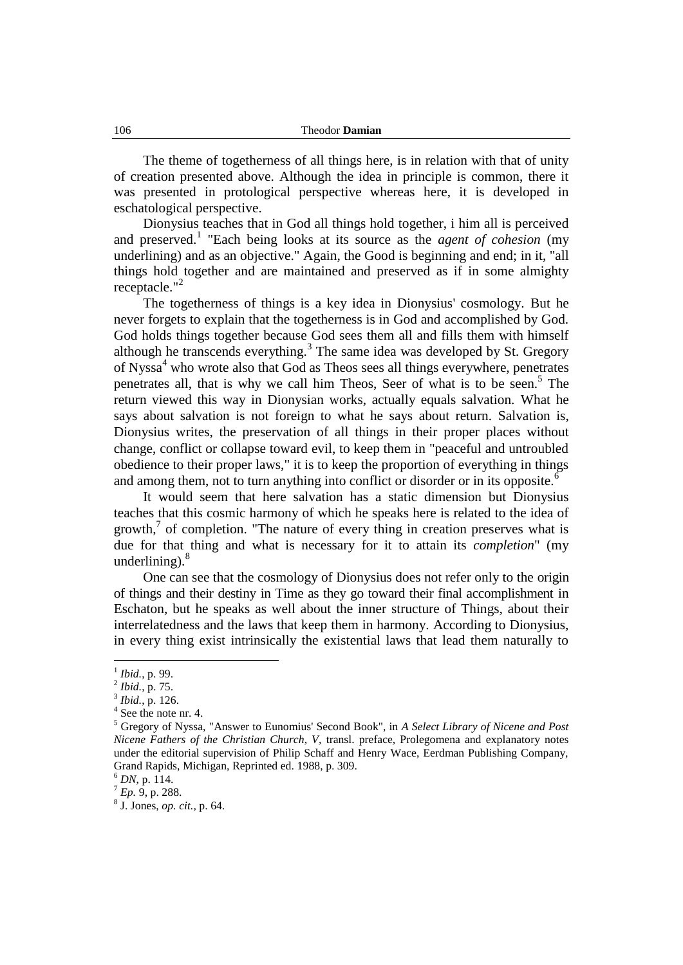The theme of togetherness of all things here, is in relation with that of unity of creation presented above. Although the idea in principle is common, there it was presented in protological perspective whereas here, it is developed in eschatological perspective.

Dionysius teaches that in God all things hold together, i him all is perceived and preserved.<sup>1</sup> "Each being looks at its source as the *agent of cohesion* (my underlining) and as an objective." Again, the Good is beginning and end; in it, "all things hold together and are maintained and preserved as if in some almighty receptacle."<sup>2</sup>

The togetherness of things is a key idea in Dionysius' cosmology. But he never forgets to explain that the togetherness is in God and accomplished by God. God holds things together because God sees them all and fills them with himself although he transcends everything.<sup>3</sup> The same idea was developed by St. Gregory of Nyssa<sup>4</sup> who wrote also that God as Theos sees all things everywhere, penetrates penetrates all, that is why we call him Theos, Seer of what is to be seen.<sup>5</sup> The return viewed this way in Dionysian works, actually equals salvation. What he says about salvation is not foreign to what he says about return. Salvation is, Dionysius writes, the preservation of all things in their proper places without change, conflict or collapse toward evil, to keep them in "peaceful and untroubled obedience to their proper laws," it is to keep the proportion of everything in things and among them, not to turn anything into conflict or disorder or in its opposite.<sup>6</sup>

It would seem that here salvation has a static dimension but Dionysius teaches that this cosmic harmony of which he speaks here is related to the idea of growth, $\frac{7}{1}$  of completion. "The nature of every thing in creation preserves what is due for that thing and what is necessary for it to attain its *completion*" (my underlining). $8$ 

One can see that the cosmology of Dionysius does not refer only to the origin of things and their destiny in Time as they go toward their final accomplishment in Eschaton, but he speaks as well about the inner structure of Things, about their interrelatedness and the laws that keep them in harmony. According to Dionysius, in every thing exist intrinsically the existential laws that lead them naturally to

<sup>1</sup> *Ibid.*, p. 99.

<sup>2</sup> *Ibid.*, p. 75.

<sup>3</sup> *Ibid.*, p. 126.

<sup>4</sup> See the note nr. 4.

<sup>5</sup> Gregory of Nyssa, "Answer to Eunomius' Second Book", in *A Select Library of Nicene and Post Nicene Fathers of the Christian Church, V,* transl. preface, Prolegomena and explanatory notes under the editorial supervision of Philip Schaff and Henry Wace, Eerdman Publishing Company, Grand Rapids, Michigan, Reprinted ed. 1988, p. 309.

<sup>6</sup> *DN*, p. 114.

 $^7$  *Ep.* 9, p. 288.

<sup>8</sup> J. Jones, *op. cit.,* p. 64.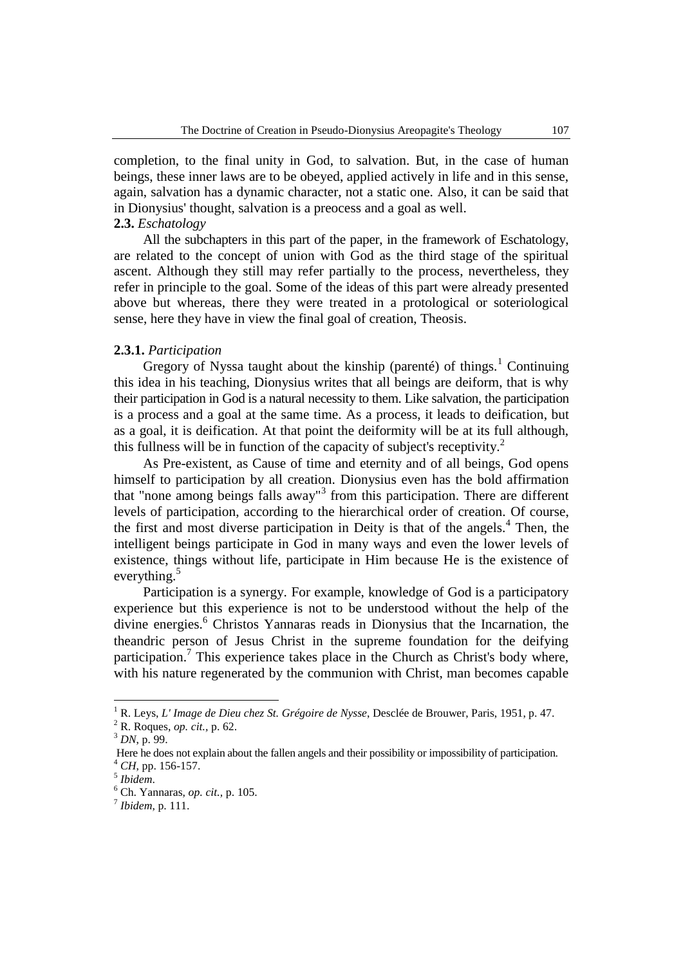completion, to the final unity in God, to salvation. But, in the case of human beings, these inner laws are to be obeyed, applied actively in life and in this sense, again, salvation has a dynamic character, not a static one. Also, it can be said that in Dionysius' thought, salvation is a preocess and a goal as well.

## **2.3.** *Eschatology*

All the subchapters in this part of the paper, in the framework of Eschatology, are related to the concept of union with God as the third stage of the spiritual ascent. Although they still may refer partially to the process, nevertheless, they refer in principle to the goal. Some of the ideas of this part were already presented above but whereas, there they were treated in a protological or soteriological sense, here they have in view the final goal of creation, Theosis.

## **2.3.1.** *Participation*

Gregory of Nyssa taught about the kinship (parenté) of things.<sup>1</sup> Continuing this idea in his teaching, Dionysius writes that all beings are deiform, that is why their participation in God is a natural necessity to them. Like salvation, the participation is a process and a goal at the same time. As a process, it leads to deification, but as a goal, it is deification. At that point the deiformity will be at its full although, this fullness will be in function of the capacity of subject's receptivity.<sup>2</sup>

As Pre-existent, as Cause of time and eternity and of all beings, God opens himself to participation by all creation. Dionysius even has the bold affirmation that "none among beings falls away"<sup>3</sup> from this participation. There are different levels of participation, according to the hierarchical order of creation. Of course, the first and most diverse participation in Deity is that of the angels.<sup>4</sup> Then, the intelligent beings participate in God in many ways and even the lower levels of existence, things without life, participate in Him because He is the existence of everything. $5$ 

Participation is a synergy. For example, knowledge of God is a participatory experience but this experience is not to be understood without the help of the divine energies.<sup>6</sup> Christos Yannaras reads in Dionysius that the Incarnation, the theandric person of Jesus Christ in the supreme foundation for the deifying participation.<sup>7</sup> This experience takes place in the Church as Christ's body where, with his nature regenerated by the communion with Christ, man becomes capable

<sup>1</sup> R. Leys, *L' Image de Dieu chez St. Grégoire de Nysse*, Desclée de Brouwer, Paris, 1951, p. 47.

<sup>2</sup> R. Roques, *op. cit.,* p. 62.

<sup>3</sup> *DN*, p. 99.

Here he does not explain about the fallen angels and their possibility or impossibility of participation. <sup>4</sup> *CH*, pp. 156-157.

<sup>5</sup> *Ibidem*.

<sup>6</sup> Ch. Yannaras, *op. cit.,* p. 105.

<sup>7</sup> *Ibidem*, p. 111.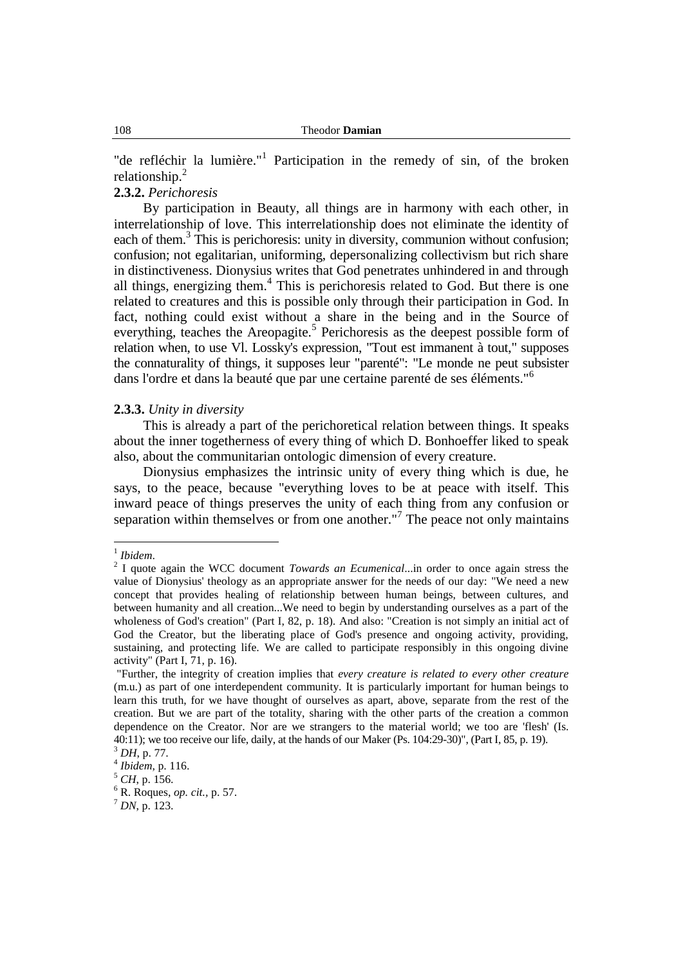"de refléchir la lumière."<sup>1</sup> Participation in the remedy of sin, of the broken relationship.<sup>2</sup>

## **2.3.2.** *Perichoresis*

By participation in Beauty, all things are in harmony with each other, in interrelationship of love. This interrelationship does not eliminate the identity of each of them.<sup>3</sup> This is perichoresis: unity in diversity, communion without confusion; confusion; not egalitarian, uniforming, depersonalizing collectivism but rich share in distinctiveness. Dionysius writes that God penetrates unhindered in and through all things, energizing them.<sup>4</sup> This is perichoresis related to God. But there is one related to creatures and this is possible only through their participation in God. In fact, nothing could exist without a share in the being and in the Source of everything, teaches the Areopagite.<sup>5</sup> Perichoresis as the deepest possible form of relation when, to use Vl. Lossky's expression, "Tout est immanent à tout," supposes the connaturality of things, it supposes leur "parenté": "Le monde ne peut subsister dans l'ordre et dans la beauté que par une certaine parenté de ses éléments."<sup>6</sup>

## **2.3.3.** *Unity in diversity*

This is already a part of the perichoretical relation between things. It speaks about the inner togetherness of every thing of which D. Bonhoeffer liked to speak also, about the communitarian ontologic dimension of every creature.

Dionysius emphasizes the intrinsic unity of every thing which is due, he says, to the peace, because "everything loves to be at peace with itself. This inward peace of things preserves the unity of each thing from any confusion or separation within themselves or from one another."<sup>7</sup> The peace not only maintains

 1 *Ibidem*.

<sup>2</sup> I quote again the WCC document *Towards an Ecumenical*...in order to once again stress the value of Dionysius' theology as an appropriate answer for the needs of our day: "We need a new concept that provides healing of relationship between human beings, between cultures, and between humanity and all creation...We need to begin by understanding ourselves as a part of the wholeness of God's creation" (Part I, 82, p. 18). And also: "Creation is not simply an initial act of God the Creator, but the liberating place of God's presence and ongoing activity, providing, sustaining, and protecting life. We are called to participate responsibly in this ongoing divine activity" (Part I, 71, p. 16).

<sup>&</sup>quot;Further, the integrity of creation implies that *every creature is related to every other creature* (m.u.) as part of one interdependent community. It is particularly important for human beings to learn this truth, for we have thought of ourselves as apart, above, separate from the rest of the creation. But we are part of the totality, sharing with the other parts of the creation a common dependence on the Creator. Nor are we strangers to the material world; we too are 'flesh' (Is. 40:11); we too receive our life, daily, at the hands of our Maker (Ps. 104:29-30)", (Part I, 85, p. 19).

<sup>3</sup> *DH*, p. 77.

<sup>4</sup> *Ibidem*, p. 116.

<sup>5</sup> *CH*, p. 156.

<sup>6</sup> R. Roques, *op. cit.,* p. 57.

 $^7$  *DN*, p. 123.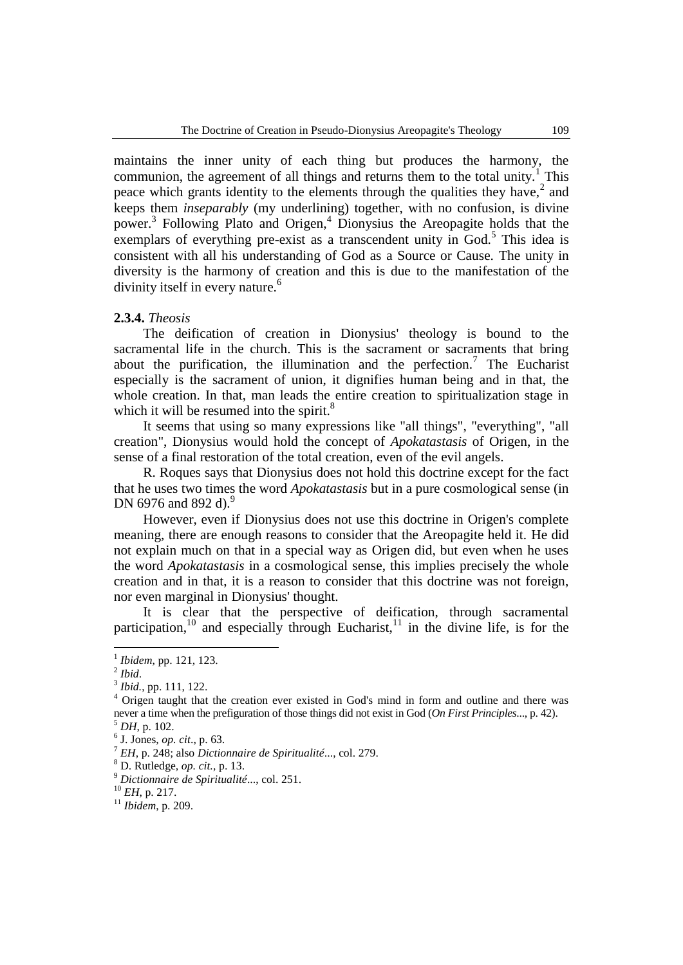maintains the inner unity of each thing but produces the harmony, the communion, the agreement of all things and returns them to the total unity.<sup>1</sup> This peace which grants identity to the elements through the qualities they have, $2$  and keeps them *inseparably* (my underlining) together, with no confusion, is divine power.<sup>3</sup> Following Plato and Origen,<sup>4</sup> Dionysius the Areopagite holds that the exemplars of everything pre-exist as a transcendent unity in God.<sup>5</sup> This idea is consistent with all his understanding of God as a Source or Cause. The unity in diversity is the harmony of creation and this is due to the manifestation of the divinity itself in every nature.<sup>6</sup>

### **2.3.4.** *Theosis*

The deification of creation in Dionysius' theology is bound to the sacramental life in the church. This is the sacrament or sacraments that bring about the purification, the illumination and the perfection.<sup>7</sup> The Eucharist especially is the sacrament of union, it dignifies human being and in that, the whole creation. In that, man leads the entire creation to spiritualization stage in which it will be resumed into the spirit.<sup>8</sup>

It seems that using so many expressions like "all things", "everything", "all creation", Dionysius would hold the concept of *Apokatastasis* of Origen, in the sense of a final restoration of the total creation, even of the evil angels.

R. Roques says that Dionysius does not hold this doctrine except for the fact that he uses two times the word *Apokatastasis* but in a pure cosmological sense (in DN 6976 and 892 d).<sup>9</sup>

However, even if Dionysius does not use this doctrine in Origen's complete meaning, there are enough reasons to consider that the Areopagite held it. He did not explain much on that in a special way as Origen did, but even when he uses the word *Apokatastasis* in a cosmological sense, this implies precisely the whole creation and in that, it is a reason to consider that this doctrine was not foreign, nor even marginal in Dionysius' thought.

It is clear that the perspective of deification, through sacramental participation,<sup>10</sup> and especially through Eucharist,<sup>11</sup> in the divine life, is for the

<sup>1</sup> *Ibidem*, pp. 121, 123.

<sup>2</sup> *Ibid*.

<sup>3</sup> *Ibid.*, pp. 111, 122.

<sup>4</sup> Origen taught that the creation ever existed in God's mind in form and outline and there was never a time when the prefiguration of those things did not exist in God (*On First Principles*..., p. 42).

<sup>5</sup> *DH*, p. 102.

<sup>6</sup> J. Jones, *op. cit*., p. 63.

<sup>7</sup> *EH*, p. 248; also *Dictionnaire de Spiritualité*..., col. 279.

<sup>8</sup> D. Rutledge, *op. cit.,* p. 13.

<sup>9</sup> *Dictionnaire de Spiritualité*..., col. 251.

<sup>10</sup> *EH*, p. 217.

<sup>11</sup> *Ibidem*, p. 209.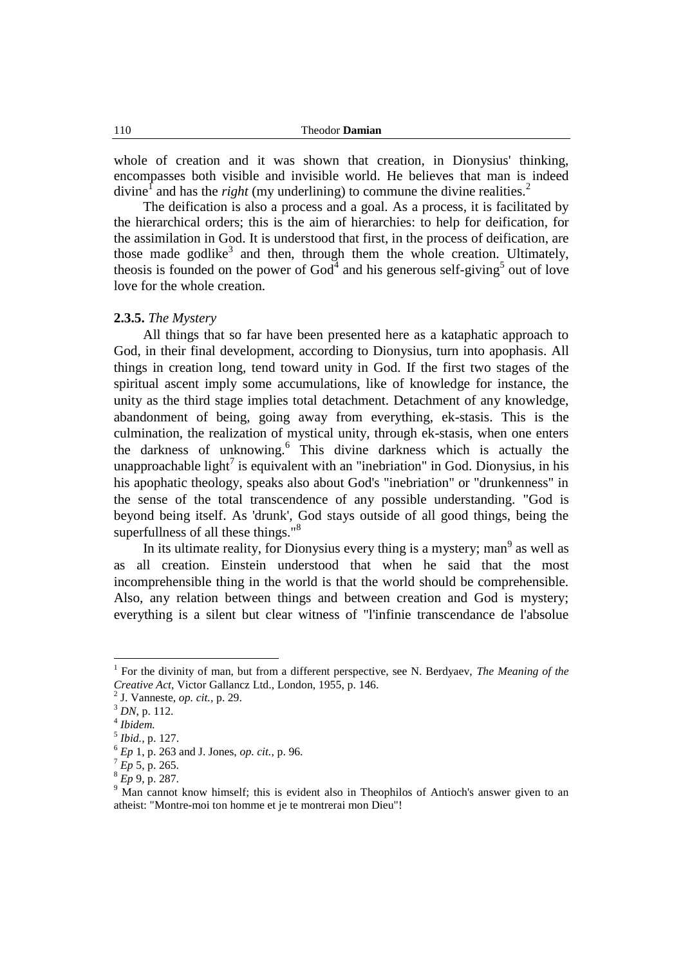whole of creation and it was shown that creation, in Dionysius' thinking, encompasses both visible and invisible world. He believes that man is indeed divine<sup>1</sup> and has the *right* (my underlining) to commune the divine realities.<sup>2</sup>

The deification is also a process and a goal. As a process, it is facilitated by the hierarchical orders; this is the aim of hierarchies: to help for deification, for the assimilation in God. It is understood that first, in the process of deification, are those made godlike<sup>3</sup> and then, through them the whole creation. Ultimately, theosis is founded on the power of  $God<sup>4</sup>$  and his generous self-giving<sup>5</sup> out of love love for the whole creation.

### **2.3.5.** *The Mystery*

All things that so far have been presented here as a kataphatic approach to God, in their final development, according to Dionysius, turn into apophasis. All things in creation long, tend toward unity in God. If the first two stages of the spiritual ascent imply some accumulations, like of knowledge for instance, the unity as the third stage implies total detachment. Detachment of any knowledge, abandonment of being, going away from everything, ek-stasis. This is the culmination, the realization of mystical unity, through ek-stasis, when one enters the darkness of unknowing. 6 This divine darkness which is actually the unapproachable light<sup>7</sup> is equivalent with an "inebriation" in God. Dionysius, in his his apophatic theology, speaks also about God's "inebriation" or "drunkenness" in the sense of the total transcendence of any possible understanding. "God is beyond being itself. As 'drunk', God stays outside of all good things, being the superfullness of all these things."<sup>8</sup>

In its ultimate reality, for Dionysius every thing is a mystery; man<sup>9</sup> as well as as all creation. Einstein understood that when he said that the most incomprehensible thing in the world is that the world should be comprehensible. Also, any relation between things and between creation and God is mystery; everything is a silent but clear witness of "l'infinie transcendance de l'absolue

<sup>1</sup> For the divinity of man, but from a different perspective, see N. Berdyaev, *The Meaning of the Creative Act*, Victor Gallancz Ltd., London, 1955, p. 146.

<sup>2</sup> J. Vanneste, *op. cit.,* p. 29.

<sup>3</sup> *DN*, p. 112.

<sup>4</sup> *Ibidem.*

<sup>5</sup> *Ibid.,* p. 127.

<sup>6</sup> *Ep* 1, p. 263 and J. Jones, *op. cit.,* p. 96.

 $^{7}$  *Ep* 5, p. 265.

<sup>8</sup> *Ep* 9, p. 287.

<sup>&</sup>lt;sup>9</sup> Man cannot know himself; this is evident also in Theophilos of Antioch's answer given to an atheist: "Montre-moi ton homme et je te montrerai mon Dieu"!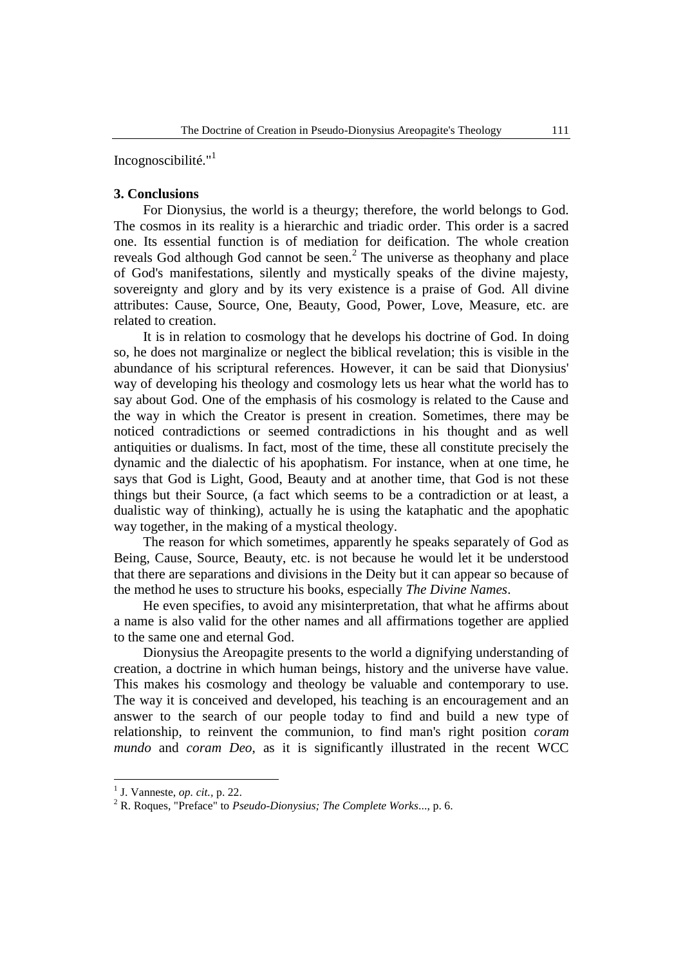Incognoscibilité."<sup>1</sup>

## **3. Conclusions**

For Dionysius, the world is a theurgy; therefore, the world belongs to God. The cosmos in its reality is a hierarchic and triadic order. This order is a sacred one. Its essential function is of mediation for deification. The whole creation reveals God although God cannot be seen.<sup>2</sup> The universe as theophany and place of God's manifestations, silently and mystically speaks of the divine majesty, sovereignty and glory and by its very existence is a praise of God. All divine attributes: Cause, Source, One, Beauty, Good, Power, Love, Measure, etc. are related to creation.

It is in relation to cosmology that he develops his doctrine of God. In doing so, he does not marginalize or neglect the biblical revelation; this is visible in the abundance of his scriptural references. However, it can be said that Dionysius' way of developing his theology and cosmology lets us hear what the world has to say about God. One of the emphasis of his cosmology is related to the Cause and the way in which the Creator is present in creation. Sometimes, there may be noticed contradictions or seemed contradictions in his thought and as well antiquities or dualisms. In fact, most of the time, these all constitute precisely the dynamic and the dialectic of his apophatism. For instance, when at one time, he says that God is Light, Good, Beauty and at another time, that God is not these things but their Source, (a fact which seems to be a contradiction or at least, a dualistic way of thinking), actually he is using the kataphatic and the apophatic way together, in the making of a mystical theology.

The reason for which sometimes, apparently he speaks separately of God as Being, Cause, Source, Beauty, etc. is not because he would let it be understood that there are separations and divisions in the Deity but it can appear so because of the method he uses to structure his books, especially *The Divine Names*.

He even specifies, to avoid any misinterpretation, that what he affirms about a name is also valid for the other names and all affirmations together are applied to the same one and eternal God.

Dionysius the Areopagite presents to the world a dignifying understanding of creation, a doctrine in which human beings, history and the universe have value. This makes his cosmology and theology be valuable and contemporary to use. The way it is conceived and developed, his teaching is an encouragement and an answer to the search of our people today to find and build a new type of relationship, to reinvent the communion, to find man's right position *coram mundo* and *coram Deo*, as it is significantly illustrated in the recent WCC

<sup>1</sup> J. Vanneste, *op. cit.,* p. 22.

<sup>2</sup> R. Roques, "Preface" to *Pseudo-Dionysius; The Complete Works*..., p. 6.